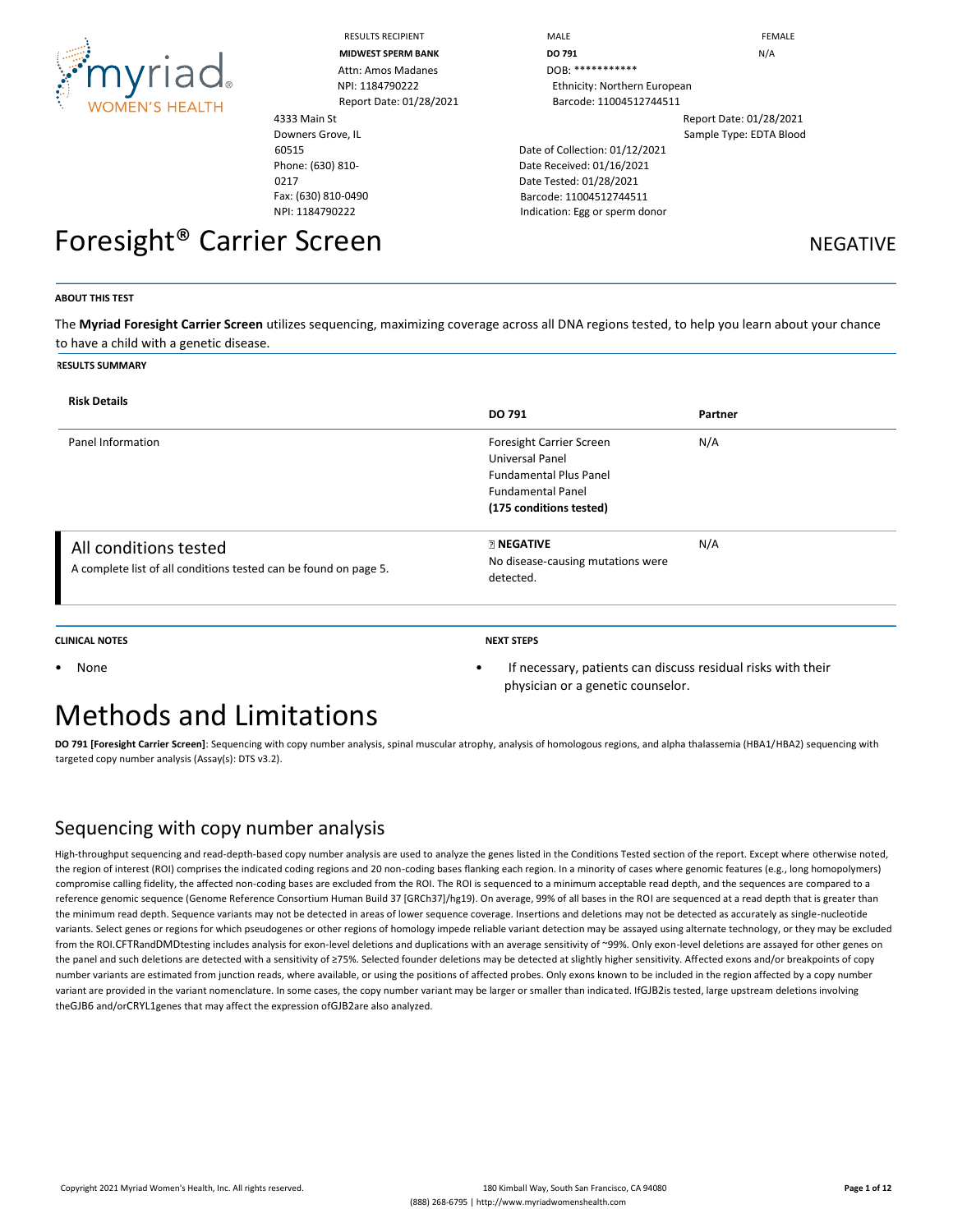

|                                       | <b>RESULTS RECIPIENT</b>  | MALE                           | <b>FEMALE</b>           |
|---------------------------------------|---------------------------|--------------------------------|-------------------------|
|                                       | <b>MIDWEST SPERM BANK</b> | DO 791                         | N/A                     |
| <b>Amyriad</b>                        | Attn: Amos Madanes        | DOB: ************              |                         |
|                                       | NPI: 1184790222           | Ethnicity: Northern European   |                         |
| <b>WOMEN'S HEALTH</b>                 | Report Date: 01/28/2021   | Barcode: 11004512744511        |                         |
|                                       | 4333 Main St              |                                | Report Date: 01/28/2021 |
|                                       | Downers Grove, IL         |                                | Sample Type: EDTA Blood |
|                                       | 60515                     | Date of Collection: 01/12/2021 |                         |
|                                       | Phone: (630) 810-         | Date Received: 01/16/2021      |                         |
|                                       | 0217                      | Date Tested: 01/28/2021        |                         |
|                                       | Fax: (630) 810-0490       | Barcode: 11004512744511        |                         |
|                                       | NPI: 1184790222           | Indication: Egg or sperm donor |                         |
| Foresight <sup>®</sup> Carrier Screen |                           |                                | <b>NEGATIVE</b>         |

#### **ABOUT THIS TEST**

The **Myriad Foresight Carrier Screen** utilizes sequencing, maximizing coverage across all DNA regions tested, to help you learn about your chance to have a child with a genetic disease.

#### **RESULTS SUMMARY**

| <b>Risk Details</b>                                                                       | DO 791                                                                                                                              | Partner |
|-------------------------------------------------------------------------------------------|-------------------------------------------------------------------------------------------------------------------------------------|---------|
| Panel Information                                                                         | Foresight Carrier Screen<br>Universal Panel<br><b>Fundamental Plus Panel</b><br><b>Fundamental Panel</b><br>(175 conditions tested) | N/A     |
| All conditions tested<br>A complete list of all conditions tested can be found on page 5. | <b>RINEGATIVE</b><br>No disease-causing mutations were<br>detected.                                                                 | N/A     |

#### **CLINICAL NOTES NEXT STEPS**

physician or a genetic counselor.

• None • If necessary, patients can discuss residual risks with their

## Methods and Limitations

**DO 791 [Foresight Carrier Screen]**: Sequencing with copy number analysis, spinal muscular atrophy, analysis of homologous regions, and alpha thalassemia (HBA1/HBA2) sequencing with targeted copy number analysis (Assay(s): DTS v3.2).

### Sequencing with copy number analysis

High-throughput sequencing and read-depth-based copy number analysis are used to analyze the genes listed in the Conditions Tested section of the report. Except where otherwise noted, the region of interest (ROI) comprises the indicated coding regions and 20 non-coding bases flanking each region. In a minority of cases where genomic features (e.g., long homopolymers) compromise calling fidelity, the affected non-coding bases are excluded from the ROI. The ROI is sequenced to a minimum acceptable read depth, and the sequences are compared to a reference genomic sequence (Genome Reference Consortium Human Build 37 [GRCh37]/hg19). On average, 99% of all bases in the ROI are sequenced at a read depth that is greater than the minimum read depth. Sequence variants may not be detected in areas of lower sequence coverage. Insertions and deletions may not be detected as accurately as single-nucleotide variants. Select genes or regions for which pseudogenes or other regions of homology impede reliable variant detection may be assayed using alternate technology, or they may be excluded from the ROI.CFTRandDMDtesting includes analysis for exon-level deletions and duplications with an average sensitivity of ~99%. Only exon-level deletions are assayed for other genes on the panel and such deletions are detected with a sensitivity of ≥75%. Selected founder deletions may be detected at slightly higher sensitivity. Affected exons and/or breakpoints of copy number variants are estimated from junction reads, where available, or using the positions of affected probes. Only exons known to be included in the region affected by a copy number variant are provided in the variant nomenclature. In some cases, the copy number variant may be larger or smaller than indicated. IfGJB2is tested, large upstream deletions involving theGJB6 and/orCRYL1genes that may affect the expression ofGJB2are also analyzed.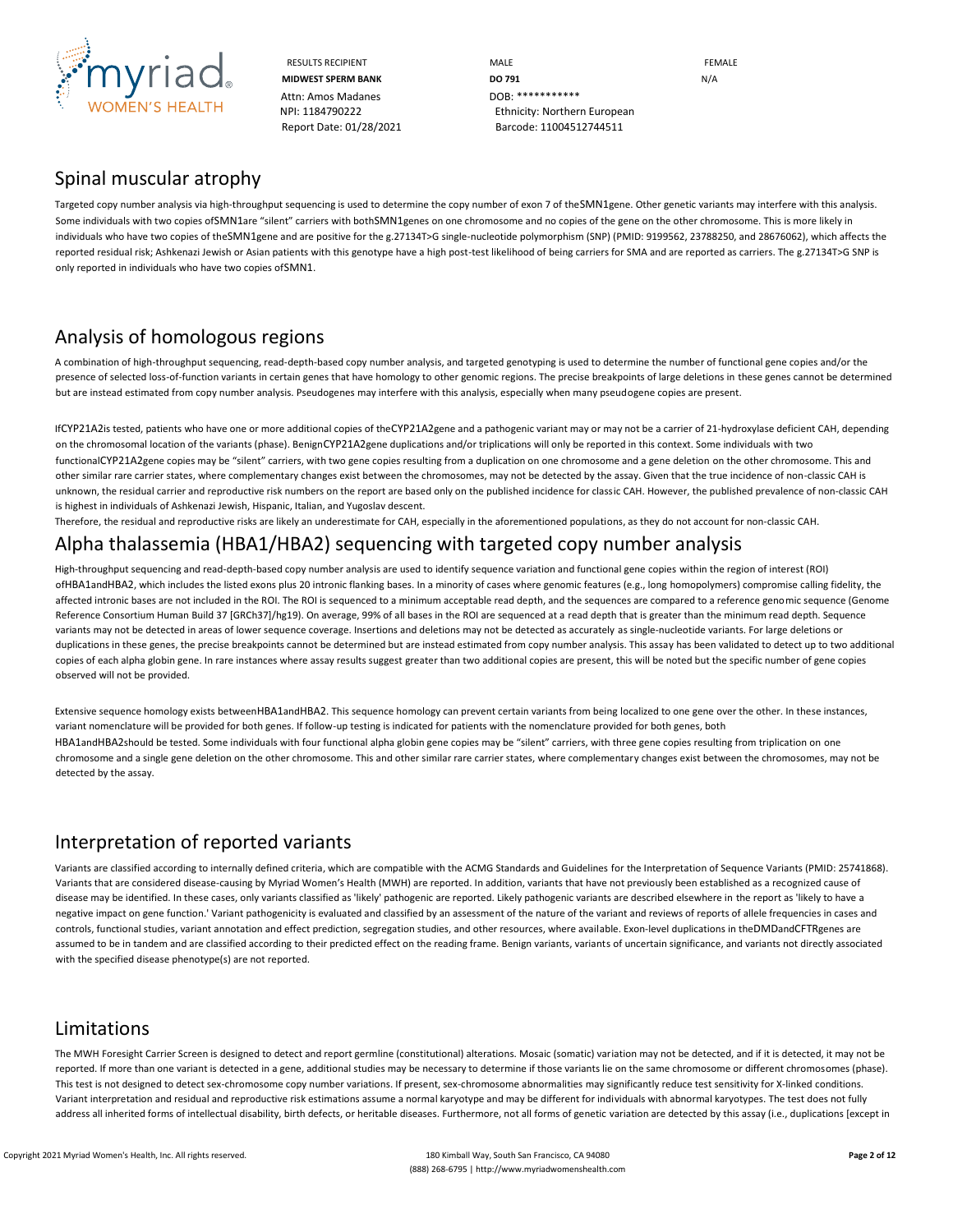

Attn: Amos Madanes **DOB: \*\*\*\*\*\*\*\*\*\*\*** 

RESULTS RECIPIENT **MALE MALE EXAMPLE MIDWEST SPERM BANK DO 791 DO 791 N/A** NPI: 1184790222 Ethnicity: Northern European Report Date: 01/28/2021 Barcode: 11004512744511

### Spinal muscular atrophy

Targeted copy number analysis via high-throughput sequencing is used to determine the copy number of exon 7 of theSMN1gene. Other genetic variants may interfere with this analysis. Some individuals with two copies ofSMN1are "silent" carriers with bothSMN1genes on one chromosome and no copies of the gene on the other chromosome. This is more likely in individuals who have two copies of theSMN1gene and are positive for the g.27134T>G single-nucleotide polymorphism (SNP) (PMID: 9199562, 23788250, and 28676062), which affects the reported residual risk; Ashkenazi Jewish or Asian patients with this genotype have a high post-test likelihood of being carriers for SMA and are reported as carriers. The g.27134T>G SNP is only reported in individuals who have two copies ofSMN1.

## Analysis of homologous regions

A combination of high-throughput sequencing, read-depth-based copy number analysis, and targeted genotyping is used to determine the number of functional gene copies and/or the presence of selected loss-of-function variants in certain genes that have homology to other genomic regions. The precise breakpoints of large deletions in these genes cannot be determined but are instead estimated from copy number analysis. Pseudogenes may interfere with this analysis, especially when many pseudogene copies are present.

IfCYP21A2is tested, patients who have one or more additional copies of theCYP21A2gene and a pathogenic variant may or may not be a carrier of 21-hydroxylase deficient CAH, depending on the chromosomal location of the variants (phase). BenignCYP21A2gene duplications and/or triplications will only be reported in this context. Some individuals with two functionalCYP21A2gene copies may be "silent" carriers, with two gene copies resulting from a duplication on one chromosome and a gene deletion on the other chromosome. This and other similar rare carrier states, where complementary changes exist between the chromosomes, may not be detected by the assay. Given that the true incidence of non-classic CAH is unknown, the residual carrier and reproductive risk numbers on the report are based only on the published incidence for classic CAH. However, the published prevalence of non-classic CAH is highest in individuals of Ashkenazi Jewish, Hispanic, Italian, and Yugoslav descent.

Therefore, the residual and reproductive risks are likely an underestimate for CAH, especially in the aforementioned populations, as they do not account for non-classic CAH.

### Alpha thalassemia (HBA1/HBA2) sequencing with targeted copy number analysis

High-throughput sequencing and read-depth-based copy number analysis are used to identify sequence variation and functional gene copies within the region of interest (ROI) ofHBA1andHBA2, which includes the listed exons plus 20 intronic flanking bases. In a minority of cases where genomic features (e.g., long homopolymers) compromise calling fidelity, the affected intronic bases are not included in the ROI. The ROI is sequenced to a minimum acceptable read depth, and the sequences are compared to a reference genomic sequence (Genome Reference Consortium Human Build 37 [GRCh37]/hg19). On average, 99% of all bases in the ROI are sequenced at a read depth that is greater than the minimum read depth. Sequence variants may not be detected in areas of lower sequence coverage. Insertions and deletions may not be detected as accurately as single-nucleotide variants. For large deletions or duplications in these genes, the precise breakpoints cannot be determined but are instead estimated from copy number analysis. This assay has been validated to detect up to two additional copies of each alpha globin gene. In rare instances where assay results suggest greater than two additional copies are present, this will be noted but the specific number of gene copies observed will not be provided.

Extensive sequence homology exists betweenHBA1andHBA2. This sequence homology can prevent certain variants from being localized to one gene over the other. In these instances, variant nomenclature will be provided for both genes. If follow-up testing is indicated for patients with the nomenclature provided for both genes, both HBA1andHBA2should be tested. Some individuals with four functional alpha globin gene copies may be "silent" carriers, with three gene copies resulting from triplication on one chromosome and a single gene deletion on the other chromosome. This and other similar rare carrier states, where complementary changes exist between the chromosomes, may not be detected by the assay.

### Interpretation of reported variants

Variants are classified according to internally defined criteria, which are compatible with the ACMG Standards and Guidelines for the Interpretation of Sequence Variants (PMID: 25741868). Variants that are considered disease-causing by Myriad Women's Health (MWH) are reported. In addition, variants that have not previously been established as a recognized cause of disease may be identified. In these cases, only variants classified as 'likely' pathogenic are reported. Likely pathogenic variants are described elsewhere in the report as 'likely to have a negative impact on gene function.' Variant pathogenicity is evaluated and classified by an assessment of the nature of the variant and reviews of reports of allele frequencies in cases and controls, functional studies, variant annotation and effect prediction, segregation studies, and other resources, where available. Exon-level duplications in theDMDandCFTRgenes are assumed to be in tandem and are classified according to their predicted effect on the reading frame. Benign variants, variants of uncertain significance, and variants not directly associated with the specified disease phenotype(s) are not reported.

### Limitations

The MWH Foresight Carrier Screen is designed to detect and report germline (constitutional) alterations. Mosaic (somatic) variation may not be detected, and if it is detected, it may not be reported. If more than one variant is detected in a gene, additional studies may be necessary to determine if those variants lie on the same chromosome or different chromosomes (phase). This test is not designed to detect sex-chromosome copy number variations. If present, sex-chromosome abnormalities may significantly reduce test sensitivity for X-linked conditions. Variant interpretation and residual and reproductive risk estimations assume a normal karyotype and may be different for individuals with abnormal karyotypes. The test does not fully address all inherited forms of intellectual disability, birth defects, or heritable diseases. Furthermore, not all forms of genetic variation are detected by this assay (i.e., duplications [except in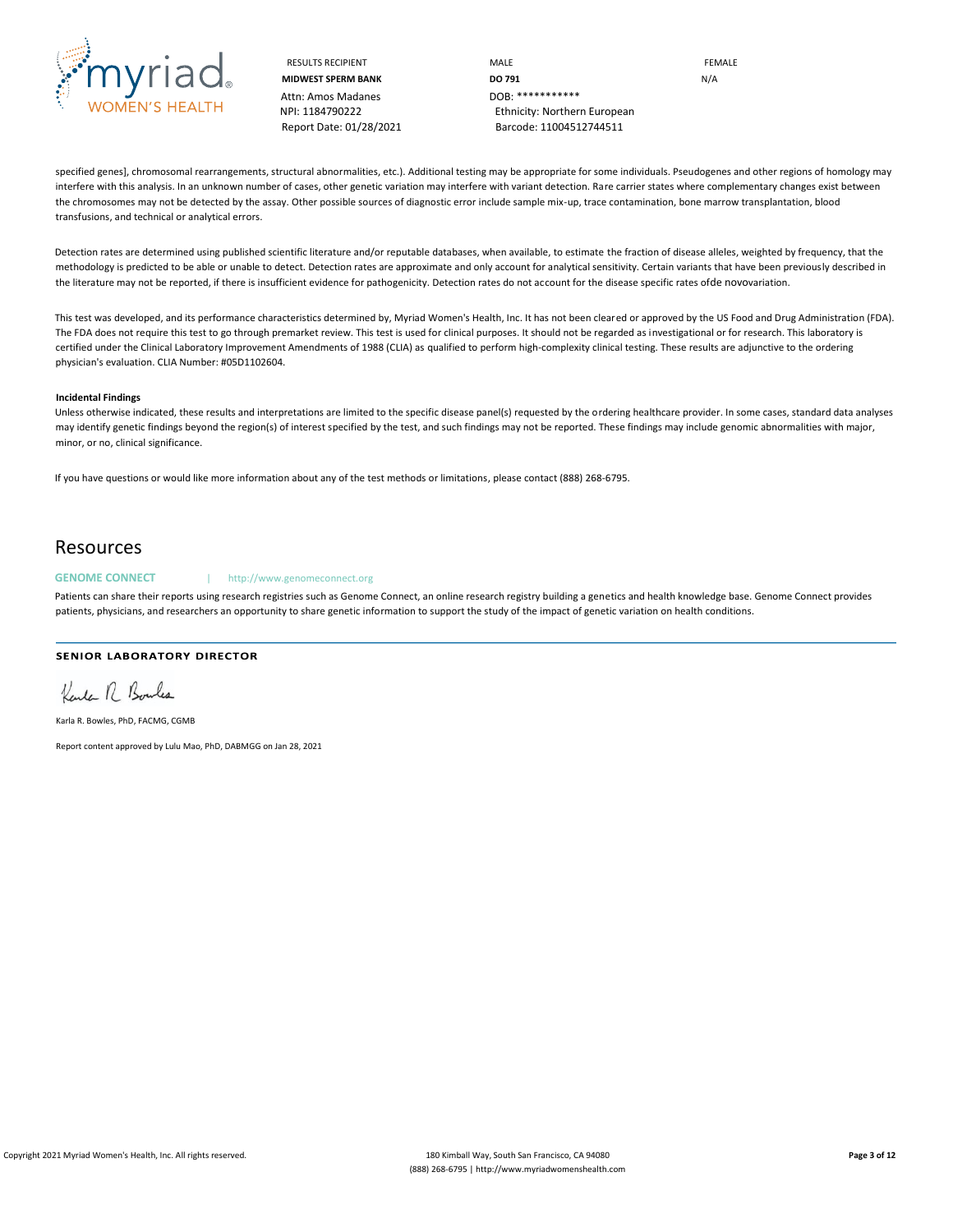

Attn: Amos Madanes **DOB: \*\*\*\*\*\*\*\*\*\*\*** 

RESULTS RECIPIENT **MALE MALE EXAMPLE MIDWEST SPERM BANK DO 791 DO 791** NPI: 1184790222 Ethnicity: Northern European Report Date: 01/28/2021 Barcode: 11004512744511

specified genes], chromosomal rearrangements, structural abnormalities, etc.). Additional testing may be appropriate for some individuals. Pseudogenes and other regions of homology may interfere with this analysis. In an unknown number of cases, other genetic variation may interfere with variant detection. Rare carrier states where complementary changes exist between the chromosomes may not be detected by the assay. Other possible sources of diagnostic error include sample mix-up, trace contamination, bone marrow transplantation, blood transfusions, and technical or analytical errors.

Detection rates are determined using published scientific literature and/or reputable databases, when available, to estimate the fraction of disease alleles, weighted by frequency, that the methodology is predicted to be able or unable to detect. Detection rates are approximate and only account for analytical sensitivity. Certain variants that have been previously described in the literature may not be reported, if there is insufficient evidence for pathogenicity. Detection rates do not account for the disease specific rates ofde novovariation.

This test was developed, and its performance characteristics determined by, Myriad Women's Health, Inc. It has not been cleared or approved by the US Food and Drug Administration (FDA). The FDA does not require this test to go through premarket review. This test is used for clinical purposes. It should not be regarded as investigational or for research. This laboratory is certified under the Clinical Laboratory Improvement Amendments of 1988 (CLIA) as qualified to perform high-complexity clinical testing. These results are adjunctive to the ordering physician's evaluation. CLIA Number: #05D1102604.

#### **Incidental Findings**

Unless otherwise indicated, these results and interpretations are limited to the specific disease panel(s) requested by the ordering healthcare provider. In some cases, standard data analyses may identify genetic findings beyond the region(s) of interest specified by the test, and such findings may not be reported. These findings may include genomic abnormalities with major, minor, or no, clinical significance.

If you have questions or would like more information about any of the test methods or limitations, please contact (888) 268-6795.

### Resources

#### GENOME CONNECT | http://www.genomeconnect.org

Patients can share their reports using research registries such as Genome Connect, an online research registry building a genetics and health knowledge base. Genome Connect provides patients, physicians, and researchers an opportunity to share genetic information to support the study of the impact of genetic variation on health conditions.

### SENIOR LABORATORY DIRECTOR

Kende 17 Bonles

Karla R. Bowles, PhD, FACMG, CGMB

Report content approved by Lulu Mao, PhD, DABMGG on Jan 28, 2021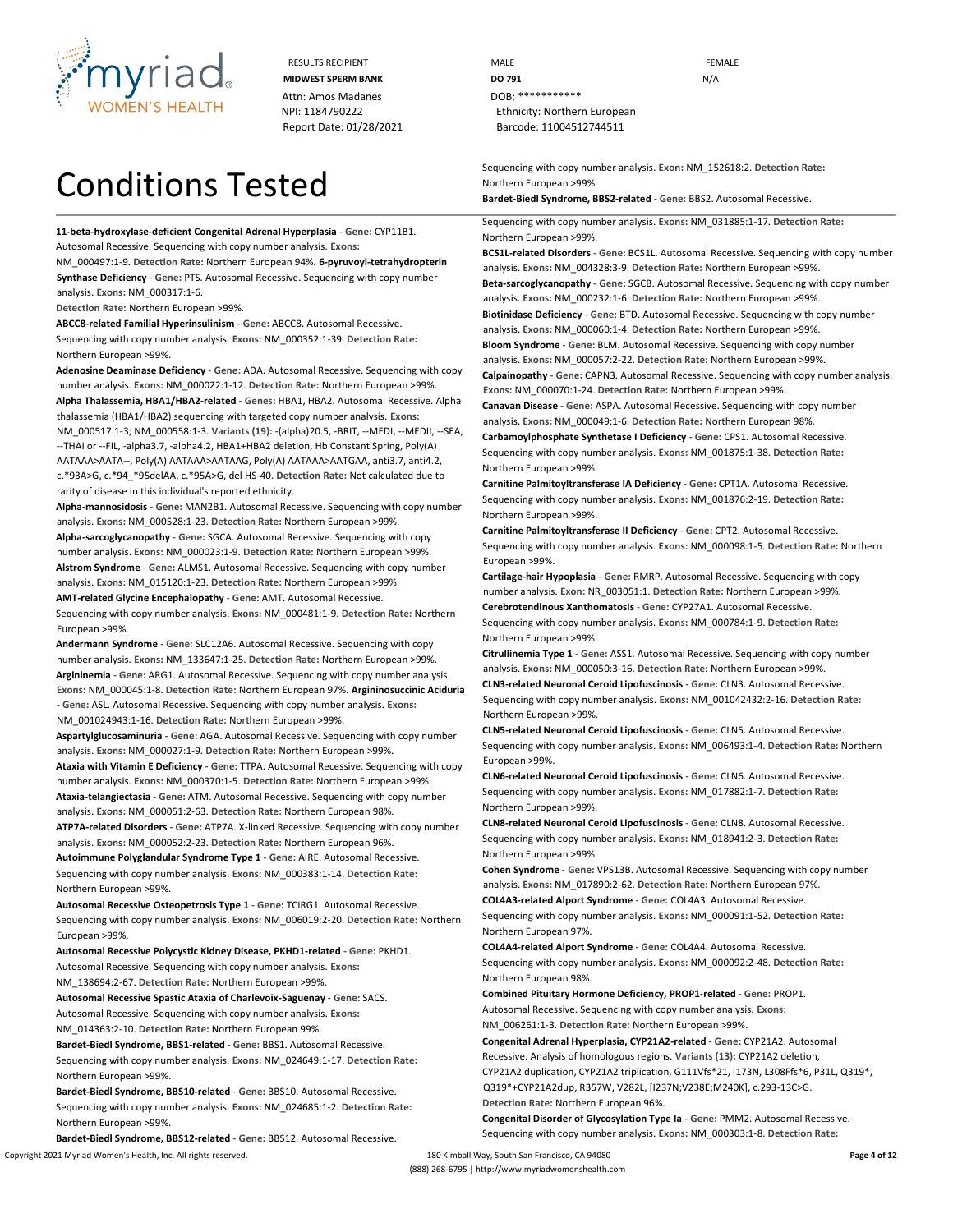

RESULTS RECIPIENT **MALE MALE EXAMPLE** Attn: Amos Madanes **DOB:** \*\*\*\*\*\*\*\*\*\*\*\*\*

# Conditions Tested

**11-beta-hydroxylase-deficient Congenital Adrenal Hyperplasia** - **Gene:** CYP11B1. Autosomal Recessive. Sequencing with copy number analysis. **Exons:**

NM\_000497:1-9. **Detection Rate:** Northern European 94%. **6-pyruvoyl-tetrahydropterin Synthase Deficiency** - **Gene:** PTS. Autosomal Recessive. Sequencing with copy number analysis. **Exons:** NM\_000317:1-6.

**Detection Rate:** Northern European >99%.

**ABCC8-related Familial Hyperinsulinism** - **Gene:** ABCC8. Autosomal Recessive. Sequencing with copy number analysis. **Exons:** NM\_000352:1-39. **Detection Rate:** Northern European >99%.

**Adenosine Deaminase Deficiency** - **Gene:** ADA. Autosomal Recessive. Sequencing with copy number analysis. **Exons:** NM\_000022:1-12. **Detection Rate:** Northern European >99%. **Alpha Thalassemia, HBA1/HBA2-related** - **Genes:** HBA1, HBA2. Autosomal Recessive. Alpha thalassemia (HBA1/HBA2) sequencing with targeted copy number analysis. **Exons:**  NM\_000517:1-3; NM\_000558:1-3. **Variants (19):** -(alpha)20.5, -BRIT, --MEDI, --MEDII, --SEA, --THAI or --FIL, -alpha3.7, -alpha4.2, HBA1+HBA2 deletion, Hb Constant Spring, Poly(A) AATAAA>AATA--, Poly(A) AATAAA>AATAAG, Poly(A) AATAAA>AATGAA, anti3.7, anti4.2, c.\*93A>G, c.\*94\_\*95delAA, c.\*95A>G, del HS-40. **Detection Rate:** Not calculated due to rarity of disease in this individual's reported ethnicity.

**Alpha-mannosidosis** - **Gene:** MAN2B1. Autosomal Recessive. Sequencing with copy number analysis. **Exons:** NM\_000528:1-23. **Detection Rate:** Northern European >99%. **Alpha-sarcoglycanopathy** - **Gene:** SGCA. Autosomal Recessive. Sequencing with copy

number analysis. **Exons:** NM\_000023:1-9. **Detection Rate:** Northern European >99%. **Alstrom Syndrome** - **Gene:** ALMS1. Autosomal Recessive. Sequencing with copy number analysis. **Exons:** NM\_015120:1-23. **Detection Rate:** Northern European >99%.

**AMT-related Glycine Encephalopathy** - **Gene:** AMT. Autosomal Recessive. Sequencing with copy number analysis. **Exons:** NM\_000481:1-9. **Detection Rate:** Northern European >99%.

**Andermann Syndrome** - **Gene:** SLC12A6. Autosomal Recessive. Sequencing with copy number analysis. **Exons:** NM\_133647:1-25. **Detection Rate:** Northern European >99%. **Argininemia** - **Gene:** ARG1. Autosomal Recessive. Sequencing with copy number analysis. **Exons:** NM\_000045:1-8. **Detection Rate:** Northern European 97%. **Argininosuccinic Aciduria**  - **Gene:** ASL. Autosomal Recessive. Sequencing with copy number analysis. **Exons:**  NM\_001024943:1-16. **Detection Rate:** Northern European >99%.

**Aspartylglucosaminuria** - **Gene:** AGA. Autosomal Recessive. Sequencing with copy number analysis. **Exons:** NM\_000027:1-9. **Detection Rate:** Northern European >99%.

**Ataxia with Vitamin E Deficiency** - **Gene:** TTPA. Autosomal Recessive. Sequencing with copy number analysis. **Exons:** NM\_000370:1-5. **Detection Rate:** Northern European >99%. **Ataxia-telangiectasia** - **Gene:** ATM. Autosomal Recessive. Sequencing with copy number

analysis. **Exons:** NM\_000051:2-63. **Detection Rate:** Northern European 98%. **ATP7A-related Disorders** - **Gene:** ATP7A. X-linked Recessive. Sequencing with copy number

analysis. **Exons:** NM\_000052:2-23. **Detection Rate:** Northern European 96%. **Autoimmune Polyglandular Syndrome Type 1** - **Gene:** AIRE. Autosomal Recessive.

Sequencing with copy number analysis. **Exons:** NM\_000383:1-14. **Detection Rate:** Northern European >99%.

**Autosomal Recessive Osteopetrosis Type 1** - **Gene:** TCIRG1. Autosomal Recessive. Sequencing with copy number analysis. **Exons:** NM\_006019:2-20. **Detection Rate:** Northern European >99%.

**Autosomal Recessive Polycystic Kidney Disease, PKHD1-related** - **Gene:** PKHD1. Autosomal Recessive. Sequencing with copy number analysis. **Exons:**

NM\_138694:2-67. **Detection Rate:** Northern European >99%.

**Autosomal Recessive Spastic Ataxia of Charlevoix-Saguenay** - **Gene:** SACS. Autosomal Recessive. Sequencing with copy number analysis. **Exons:**

NM\_014363:2-10. **Detection Rate:** Northern European 99%.

**Bardet-Biedl Syndrome, BBS1-related** - **Gene:** BBS1. Autosomal Recessive. Sequencing with copy number analysis. **Exons:** NM\_024649:1-17. **Detection Rate:** Northern European >99%.

**Bardet-Biedl Syndrome, BBS10-related** - **Gene:** BBS10. Autosomal Recessive. Sequencing with copy number analysis. **Exons:** NM\_024685:1-2. **Detection Rate:** Northern European >99%.

Copyright 2021 Myriad Women's Health, Inc. All rights reserved. 180 Kimball Way, South San Francisco, CA 94080 **Page 4 of 12 Bardet-Biedl Syndrome, BBS12-related** - **Gene:** BBS12. Autosomal Recessive.

**MIDWEST SPERM BANK DO 791 DO 791** NPI: 1184790222 Ethnicity: Northern European Report Date: 01/28/2021 Barcode: 11004512744511

> Sequencing with copy number analysis. **Exon:** NM\_152618:2. **Detection Rate:** Northern European >99%.

**Bardet-Biedl Syndrome, BBS2-related** - **Gene:** BBS2. Autosomal Recessive.

Sequencing with copy number analysis. **Exons:** NM\_031885:1-17. **Detection Rate:** Northern European >99%.

**BCS1L-related Disorders** - **Gene:** BCS1L. Autosomal Recessive. Sequencing with copy number analysis. **Exons:** NM\_004328:3-9. **Detection Rate:** Northern European >99%.

**Beta-sarcoglycanopathy** - **Gene:** SGCB. Autosomal Recessive. Sequencing with copy number analysis. **Exons:** NM\_000232:1-6. **Detection Rate:** Northern European >99%.

**Biotinidase Deficiency** - **Gene:** BTD. Autosomal Recessive. Sequencing with copy number analysis. **Exons:** NM\_000060:1-4. **Detection Rate:** Northern European >99%.

**Bloom Syndrome** - **Gene:** BLM. Autosomal Recessive. Sequencing with copy number analysis. **Exons:** NM\_000057:2-22. **Detection Rate:** Northern European >99%.

**Calpainopathy** - **Gene:** CAPN3. Autosomal Recessive. Sequencing with copy number analysis. **Exons:** NM\_000070:1-24. **Detection Rate:** Northern European >99%.

**Canavan Disease** - **Gene:** ASPA. Autosomal Recessive. Sequencing with copy number analysis. **Exons:** NM\_000049:1-6. **Detection Rate:** Northern European 98%.

**Carbamoylphosphate Synthetase I Deficiency** - **Gene:** CPS1. Autosomal Recessive. Sequencing with copy number analysis. **Exons:** NM\_001875:1-38. **Detection Rate:** Northern European >99%.

**Carnitine Palmitoyltransferase IA Deficiency** - **Gene:** CPT1A. Autosomal Recessive. Sequencing with copy number analysis. **Exons:** NM\_001876:2-19. **Detection Rate:** Northern European >99%.

**Carnitine Palmitoyltransferase II Deficiency** - **Gene:** CPT2. Autosomal Recessive. Sequencing with copy number analysis. **Exons:** NM\_000098:1-5. **Detection Rate:** Northern European >99%.

**Cartilage-hair Hypoplasia** - **Gene:** RMRP. Autosomal Recessive. Sequencing with copy number analysis. **Exon:** NR\_003051:1. **Detection Rate:** Northern European >99%.

**Cerebrotendinous Xanthomatosis** - **Gene:** CYP27A1. Autosomal Recessive.

Sequencing with copy number analysis. **Exons:** NM\_000784:1-9. **Detection Rate:** Northern European >99%.

**Citrullinemia Type 1** - **Gene:** ASS1. Autosomal Recessive. Sequencing with copy number analysis. **Exons:** NM\_000050:3-16. **Detection Rate:** Northern European >99%.

**CLN3-related Neuronal Ceroid Lipofuscinosis** - **Gene:** CLN3. Autosomal Recessive. Sequencing with copy number analysis. **Exons:** NM\_001042432:2-16. **Detection Rate:**  Northern European >99%.

**CLN5-related Neuronal Ceroid Lipofuscinosis** - **Gene:** CLN5. Autosomal Recessive. Sequencing with copy number analysis. **Exons:** NM\_006493:1-4. **Detection Rate:** Northern European >99%.

**CLN6-related Neuronal Ceroid Lipofuscinosis** - **Gene:** CLN6. Autosomal Recessive. Sequencing with copy number analysis. **Exons:** NM\_017882:1-7. **Detection Rate:** Northern European >99%.

**CLN8-related Neuronal Ceroid Lipofuscinosis** - **Gene:** CLN8. Autosomal Recessive. Sequencing with copy number analysis. **Exons:** NM\_018941:2-3. **Detection Rate:** Northern European >99%.

**Cohen Syndrome** - **Gene:** VPS13B. Autosomal Recessive. Sequencing with copy number analysis. **Exons:** NM\_017890:2-62. **Detection Rate:** Northern European 97%. **COL4A3-related Alport Syndrome** - **Gene:** COL4A3. Autosomal Recessive.

Sequencing with copy number analysis. **Exons:** NM\_000091:1-52. **Detection Rate:** Northern European 97%.

**COL4A4-related Alport Syndrome** - **Gene:** COL4A4. Autosomal Recessive. Sequencing with copy number analysis. **Exons:** NM\_000092:2-48. **Detection Rate:** Northern European 98%.

**Combined Pituitary Hormone Deficiency, PROP1-related** - **Gene:** PROP1. Autosomal Recessive. Sequencing with copy number analysis. **Exons:**

NM\_006261:1-3. **Detection Rate:** Northern European >99%.

**Congenital Adrenal Hyperplasia, CYP21A2-related** - **Gene:** CYP21A2. Autosomal Recessive. Analysis of homologous regions. **Variants (13):** CYP21A2 deletion, CYP21A2 duplication, CYP21A2 triplication, G111Vfs\*21, I173N, L308Ffs\*6, P31L, Q319\*, Q319\*+CYP21A2dup, R357W, V282L, [I237N;V238E;M240K], c.293-13C>G. **Detection Rate:** Northern European 96%.

**Congenital Disorder of Glycosylation Type Ia** - **Gene:** PMM2. Autosomal Recessive. Sequencing with copy number analysis. **Exons:** NM\_000303:1-8. **Detection Rate:**

(888) 268-6795 | http://www.myriadwomenshealth.com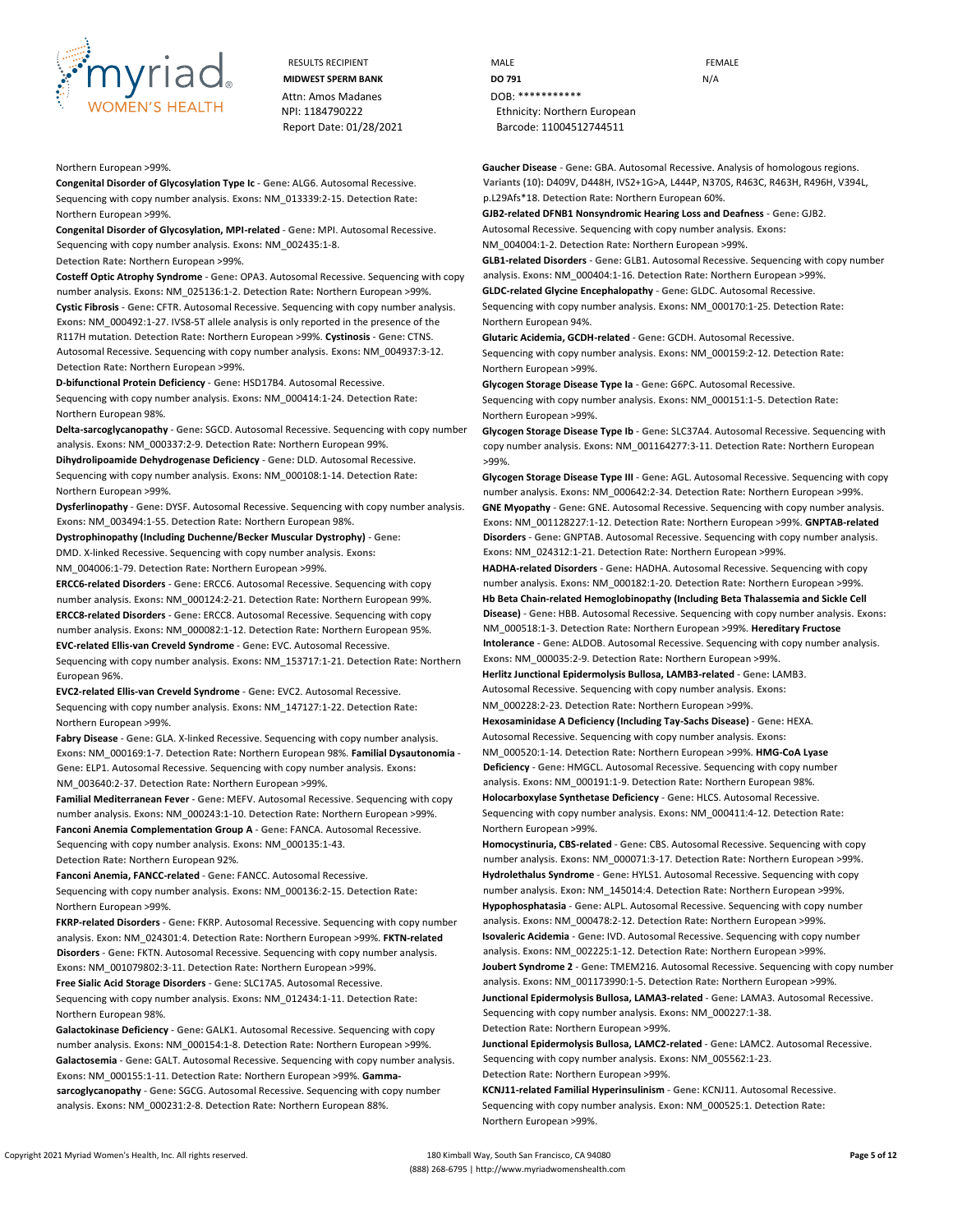

RESULTS RECIPIENT **MALE MALE EXAMPLE** Attn: Amos Madanes **DOB:** \*\*\*\*\*\*\*\*\*\*\*\*\*

#### Northern European >99%.

**Congenital Disorder of Glycosylation Type Ic** - **Gene:** ALG6. Autosomal Recessive. Sequencing with copy number analysis. **Exons:** NM\_013339:2-15. **Detection Rate:** Northern European >99%.

**Congenital Disorder of Glycosylation, MPI-related** - **Gene:** MPI. Autosomal Recessive. Sequencing with copy number analysis. **Exons:** NM\_002435:1-8.

**Detection Rate:** Northern European >99%.

**Costeff Optic Atrophy Syndrome** - **Gene:** OPA3. Autosomal Recessive. Sequencing with copy number analysis. **Exons:** NM\_025136:1-2. **Detection Rate:** Northern European >99%. **Cystic Fibrosis** - **Gene:** CFTR. Autosomal Recessive. Sequencing with copy number analysis. **Exons:** NM\_000492:1-27. IVS8-5T allele analysis is only reported in the presence of the R117H mutation. **Detection Rate:** Northern European >99%. **Cystinosis** - **Gene:** CTNS. Autosomal Recessive. Sequencing with copy number analysis. **Exons:** NM\_004937:3-12. **Detection Rate:** Northern European >99%.

**D-bifunctional Protein Deficiency** - **Gene:** HSD17B4. Autosomal Recessive. Sequencing with copy number analysis. **Exons:** NM\_000414:1-24. **Detection Rate:** Northern European 98%.

**Delta-sarcoglycanopathy** - **Gene:** SGCD. Autosomal Recessive. Sequencing with copy number analysis. **Exons:** NM\_000337:2-9. **Detection Rate:** Northern European 99%.

**Dihydrolipoamide Dehydrogenase Deficiency** - **Gene:** DLD. Autosomal Recessive. Sequencing with copy number analysis. **Exons:** NM\_000108:1-14. **Detection Rate:** Northern European >99%.

**Dysferlinopathy** - **Gene:** DYSF. Autosomal Recessive. Sequencing with copy number analysis. **Exons:** NM\_003494:1-55. **Detection Rate:** Northern European 98%.

**Dystrophinopathy (Including Duchenne/Becker Muscular Dystrophy)** - **Gene:** DMD. X-linked Recessive. Sequencing with copy number analysis. **Exons:**

NM\_004006:1-79. **Detection Rate:** Northern European >99%.

**ERCC6-related Disorders** - **Gene:** ERCC6. Autosomal Recessive. Sequencing with copy number analysis. **Exons:** NM\_000124:2-21. **Detection Rate:** Northern European 99%. **ERCC8-related Disorders** - **Gene:** ERCC8. Autosomal Recessive. Sequencing with copy number analysis. **Exons:** NM\_000082:1-12. **Detection Rate:** Northern European 95%. **EVC-related Ellis-van Creveld Syndrome** - **Gene:** EVC. Autosomal Recessive.

Sequencing with copy number analysis. **Exons:** NM\_153717:1-21. **Detection Rate:** Northern European 96%.

**EVC2-related Ellis-van Creveld Syndrome** - **Gene:** EVC2. Autosomal Recessive. Sequencing with copy number analysis. **Exons:** NM\_147127:1-22. **Detection Rate:** Northern European >99%.

**Fabry Disease** - **Gene:** GLA. X-linked Recessive. Sequencing with copy number analysis. **Exons:** NM\_000169:1-7. **Detection Rate:** Northern European 98%. **Familial Dysautonomia** - **Gene:** ELP1. Autosomal Recessive. Sequencing with copy number analysis. **Exons:**  NM\_003640:2-37. **Detection Rate:** Northern European >99%.

**Familial Mediterranean Fever** - **Gene:** MEFV. Autosomal Recessive. Sequencing with copy number analysis. **Exons:** NM\_000243:1-10. **Detection Rate:** Northern European >99%. **Fanconi Anemia Complementation Group A** - **Gene:** FANCA. Autosomal Recessive. Sequencing with copy number analysis. **Exons:** NM\_000135:1-43. **Detection Rate:** Northern European 92%.

**Fanconi Anemia, FANCC-related** - **Gene:** FANCC. Autosomal Recessive.

Sequencing with copy number analysis. **Exons:** NM\_000136:2-15. **Detection Rate:** Northern European >99%.

**FKRP-related Disorders** - **Gene:** FKRP. Autosomal Recessive. Sequencing with copy number analysis. **Exon:** NM\_024301:4. **Detection Rate:** Northern European >99%. **FKTN-related Disorders** - **Gene:** FKTN. Autosomal Recessive. Sequencing with copy number analysis. **Exons:** NM\_001079802:3-11. **Detection Rate:** Northern European >99%.

**Free Sialic Acid Storage Disorders** - **Gene:** SLC17A5. Autosomal Recessive. Sequencing with copy number analysis. **Exons:** NM\_012434:1-11. **Detection Rate:** Northern European 98%.

**Galactokinase Deficiency** - **Gene:** GALK1. Autosomal Recessive. Sequencing with copy number analysis. **Exons:** NM\_000154:1-8. **Detection Rate:** Northern European >99%. **Galactosemia** - **Gene:** GALT. Autosomal Recessive. Sequencing with copy number analysis. **Exons:** NM\_000155:1-11. **Detection Rate:** Northern European >99%. **Gammasarcoglycanopathy** - **Gene:** SGCG. Autosomal Recessive. Sequencing with copy number analysis. **Exons:** NM\_000231:2-8. **Detection Rate:** Northern European 88%.

**MIDWEST SPERM BANK DO 791 DO 791 N/A** NPI: 1184790222 Ethnicity: Northern European Report Date: 01/28/2021 Barcode: 11004512744511

> **Gaucher Disease** - **Gene:** GBA. Autosomal Recessive. Analysis of homologous regions. **Variants (10):** D409V, D448H, IVS2+1G>A, L444P, N370S, R463C, R463H, R496H, V394L, p.L29Afs\*18. **Detection Rate:** Northern European 60%.

**GJB2-related DFNB1 Nonsyndromic Hearing Loss and Deafness** - **Gene:** GJB2. Autosomal Recessive. Sequencing with copy number analysis. **Exons:**

NM\_004004:1-2. **Detection Rate:** Northern European >99%.

**GLB1-related Disorders** - **Gene:** GLB1. Autosomal Recessive. Sequencing with copy number analysis. **Exons:** NM\_000404:1-16. **Detection Rate:** Northern European >99%.

**GLDC-related Glycine Encephalopathy** - **Gene:** GLDC. Autosomal Recessive. Sequencing with copy number analysis. **Exons:** NM\_000170:1-25. **Detection Rate:** Northern European 94%.

**Glutaric Acidemia, GCDH-related** - **Gene:** GCDH. Autosomal Recessive. Sequencing with copy number analysis. **Exons:** NM\_000159:2-12. **Detection Rate:** Northern European >99%.

**Glycogen Storage Disease Type Ia** - **Gene:** G6PC. Autosomal Recessive. Sequencing with copy number analysis. **Exons:** NM\_000151:1-5. **Detection Rate:** Northern European >99%.

**Glycogen Storage Disease Type Ib** - **Gene:** SLC37A4. Autosomal Recessive. Sequencing with copy number analysis. **Exons:** NM\_001164277:3-11. **Detection Rate:** Northern European >99%.

**Glycogen Storage Disease Type III** - **Gene:** AGL. Autosomal Recessive. Sequencing with copy number analysis. **Exons:** NM\_000642:2-34. **Detection Rate:** Northern European >99%. **GNE Myopathy** - **Gene:** GNE. Autosomal Recessive. Sequencing with copy number analysis. **Exons:** NM\_001128227:1-12. **Detection Rate:** Northern European >99%. **GNPTAB-related Disorders** - **Gene:** GNPTAB. Autosomal Recessive. Sequencing with copy number analysis. **Exons:** NM\_024312:1-21. **Detection Rate:** Northern European >99%.

**HADHA-related Disorders** - **Gene:** HADHA. Autosomal Recessive. Sequencing with copy number analysis. **Exons:** NM\_000182:1-20. **Detection Rate:** Northern European >99%. **Hb Beta Chain-related Hemoglobinopathy (Including Beta Thalassemia and Sickle Cell Disease)** - **Gene:** HBB. Autosomal Recessive. Sequencing with copy number analysis. **Exons:**  NM\_000518:1-3. **Detection Rate:** Northern European >99%. **Hereditary Fructose Intolerance** - **Gene:** ALDOB. Autosomal Recessive. Sequencing with copy number analysis. **Exons:** NM\_000035:2-9. **Detection Rate:** Northern European >99%.

**Herlitz Junctional Epidermolysis Bullosa, LAMB3-related** - **Gene:** LAMB3. Autosomal Recessive. Sequencing with copy number analysis. **Exons:**

NM\_000228:2-23. **Detection Rate:** Northern European >99%.

**Hexosaminidase A Deficiency (Including Tay-Sachs Disease)** - **Gene:** HEXA. Autosomal Recessive. Sequencing with copy number analysis. **Exons:**

NM\_000520:1-14. **Detection Rate:** Northern European >99%. **HMG-CoA Lyase Deficiency** - **Gene:** HMGCL. Autosomal Recessive. Sequencing with copy number analysis. **Exons:** NM\_000191:1-9. **Detection Rate:** Northern European 98%.

**Holocarboxylase Synthetase Deficiency** - **Gene:** HLCS. Autosomal Recessive. Sequencing with copy number analysis. **Exons:** NM\_000411:4-12. **Detection Rate:** Northern European >99%.

**Homocystinuria, CBS-related** - **Gene:** CBS. Autosomal Recessive. Sequencing with copy number analysis. **Exons:** NM\_000071:3-17. **Detection Rate:** Northern European >99%. **Hydrolethalus Syndrome** - **Gene:** HYLS1. Autosomal Recessive. Sequencing with copy number analysis. **Exon:** NM\_145014:4. **Detection Rate:** Northern European >99%. **Hypophosphatasia** - **Gene:** ALPL. Autosomal Recessive. Sequencing with copy number analysis. **Exons:** NM\_000478:2-12. **Detection Rate:** Northern European >99%.

**Isovaleric Acidemia** - **Gene:** IVD. Autosomal Recessive. Sequencing with copy number analysis. **Exons:** NM\_002225:1-12. **Detection Rate:** Northern European >99%. **Joubert Syndrome 2** - **Gene:** TMEM216. Autosomal Recessive. Sequencing with copy number analysis. **Exons:** NM\_001173990:1-5. **Detection Rate:** Northern European >99%. **Junctional Epidermolysis Bullosa, LAMA3-related** - **Gene:** LAMA3. Autosomal Recessive. Sequencing with copy number analysis. **Exons:** NM\_000227:1-38. **Detection Rate:** Northern European >99%.

**Junctional Epidermolysis Bullosa, LAMC2-related** - **Gene:** LAMC2. Autosomal Recessive. Sequencing with copy number analysis. **Exons:** NM\_005562:1-23. **Detection Rate:** Northern European >99%.

**KCNJ11-related Familial Hyperinsulinism** - **Gene:** KCNJ11. Autosomal Recessive. Sequencing with copy number analysis. **Exon:** NM\_000525:1. **Detection Rate:** Northern European >99%.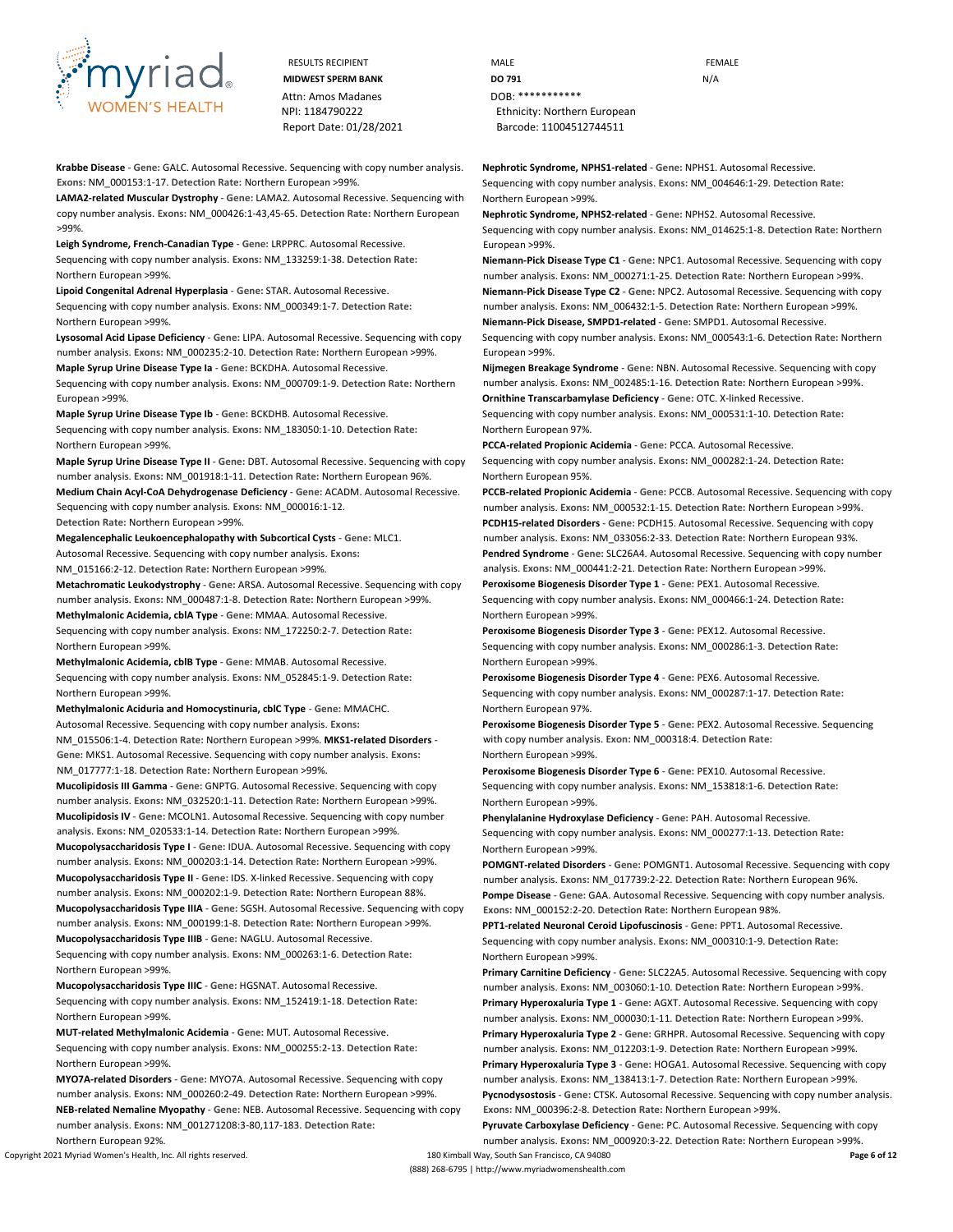

Attn: Amos Madanes **DOB:** \*\*\*\*\*\*\*\*\*\*\*\*\*

**Krabbe Disease** - **Gene:** GALC. Autosomal Recessive. Sequencing with copy number analysis. **Exons:** NM\_000153:1-17. **Detection Rate:** Northern European >99%.

**LAMA2-related Muscular Dystrophy** - **Gene:** LAMA2. Autosomal Recessive. Sequencing with copy number analysis. **Exons:** NM\_000426:1-43,45-65. **Detection Rate:** Northern European >99%.

**Leigh Syndrome, French-Canadian Type** - **Gene:** LRPPRC. Autosomal Recessive. Sequencing with copy number analysis. **Exons:** NM\_133259:1-38. **Detection Rate:** Northern European >99%.

**Lipoid Congenital Adrenal Hyperplasia** - **Gene:** STAR. Autosomal Recessive. Sequencing with copy number analysis. **Exons:** NM\_000349:1-7. **Detection Rate:** Northern European >99%.

**Lysosomal Acid Lipase Deficiency** - **Gene:** LIPA. Autosomal Recessive. Sequencing with copy number analysis. **Exons:** NM\_000235:2-10. **Detection Rate:** Northern European >99%.

**Maple Syrup Urine Disease Type Ia** - **Gene:** BCKDHA. Autosomal Recessive.

Sequencing with copy number analysis. **Exons:** NM\_000709:1-9. **Detection Rate:** Northern European >99%.

**Maple Syrup Urine Disease Type Ib** - **Gene:** BCKDHB. Autosomal Recessive.

Sequencing with copy number analysis. **Exons:** NM\_183050:1-10. **Detection Rate:** Northern European >99%.

**Maple Syrup Urine Disease Type II** - **Gene:** DBT. Autosomal Recessive. Sequencing with copy number analysis. **Exons:** NM\_001918:1-11. **Detection Rate:** Northern European 96%.

**Medium Chain Acyl-CoA Dehydrogenase Deficiency** - **Gene:** ACADM. Autosomal Recessive. Sequencing with copy number analysis. **Exons:** NM\_000016:1-12. **Detection Rate:** Northern European >99%.

**Megalencephalic Leukoencephalopathy with Subcortical Cysts** - **Gene:** MLC1.

Autosomal Recessive. Sequencing with copy number analysis. **Exons:**

NM\_015166:2-12. **Detection Rate:** Northern European >99%.

**Metachromatic Leukodystrophy** - **Gene:** ARSA. Autosomal Recessive. Sequencing with copy number analysis. **Exons:** NM\_000487:1-8. **Detection Rate:** Northern European >99%.

**Methylmalonic Acidemia, cblA Type** - **Gene:** MMAA. Autosomal Recessive. Sequencing with copy number analysis. **Exons:** NM\_172250:2-7. **Detection Rate:** Northern European >99%.

**Methylmalonic Acidemia, cblB Type** - **Gene:** MMAB. Autosomal Recessive. Sequencing with copy number analysis. **Exons:** NM\_052845:1-9. **Detection Rate:** Northern European >99%.

**Methylmalonic Aciduria and Homocystinuria, cblC Type** - **Gene:** MMACHC. Autosomal Recessive. Sequencing with copy number analysis. **Exons:** NM\_015506:1-4. **Detection Rate:** Northern European >99%. **MKS1-related Disorders** - **Gene:** MKS1. Autosomal Recessive. Sequencing with copy number analysis. **Exons:**  NM\_017777:1-18. **Detection Rate:** Northern European >99%.

**Mucolipidosis III Gamma** - **Gene:** GNPTG. Autosomal Recessive. Sequencing with copy number analysis. **Exons:** NM\_032520:1-11. **Detection Rate:** Northern European >99%. **Mucolipidosis IV** - **Gene:** MCOLN1. Autosomal Recessive. Sequencing with copy number analysis. **Exons:** NM\_020533:1-14. **Detection Rate:** Northern European >99%. **Mucopolysaccharidosis Type I** - **Gene:** IDUA. Autosomal Recessive. Sequencing with copy

number analysis. **Exons:** NM\_000203:1-14. **Detection Rate:** Northern European >99%. **Mucopolysaccharidosis Type II** - **Gene:** IDS. X-linked Recessive. Sequencing with copy number analysis. **Exons:** NM\_000202:1-9. **Detection Rate:** Northern European 88%. **Mucopolysaccharidosis Type IIIA** - **Gene:** SGSH. Autosomal Recessive. Sequencing with copy

number analysis. **Exons:** NM\_000199:1-8. **Detection Rate:** Northern European >99%. **Mucopolysaccharidosis Type IIIB** - **Gene:** NAGLU. Autosomal Recessive.

Sequencing with copy number analysis. **Exons:** NM\_000263:1-6. **Detection Rate:** Northern European >99%.

**Mucopolysaccharidosis Type IIIC** - **Gene:** HGSNAT. Autosomal Recessive. Sequencing with copy number analysis. **Exons:** NM\_152419:1-18. **Detection Rate:** Northern European >99%.

**MUT-related Methylmalonic Acidemia** - **Gene:** MUT. Autosomal Recessive. Sequencing with copy number analysis. **Exons:** NM\_000255:2-13. **Detection Rate:** Northern European >99%.

**MYO7A-related Disorders** - **Gene:** MYO7A. Autosomal Recessive. Sequencing with copy number analysis. **Exons:** NM\_000260:2-49. **Detection Rate:** Northern European >99%. **NEB-related Nemaline Myopathy** - **Gene:** NEB. Autosomal Recessive. Sequencing with copy number analysis. **Exons:** NM\_001271208:3-80,117-183. **Detection Rate:** Northern European 92%.

Copyright 2021 Myriad Women's Health, Inc. All rights reserved. 180 Kimball Way, South San Francisco, CA 94080 **Page 6 of 12**

RESULTS RECIPIENT **And CONTACT CONTROLLER CONTROLLER CONTROLLER CONTROLLER CONTROLLER CONTROLLER CONTROLLER CONTROLLER MIDWEST SPERM BANK DO 791 DO 791** NPI: 1184790222 Ethnicity: Northern European Report Date: 01/28/2021 Barcode: 11004512744511

**Nephrotic Syndrome, NPHS1-related** - **Gene:** NPHS1. Autosomal Recessive.

Sequencing with copy number analysis. **Exons:** NM\_004646:1-29. **Detection Rate:** Northern European >99%.

**Nephrotic Syndrome, NPHS2-related** - **Gene:** NPHS2. Autosomal Recessive.

Sequencing with copy number analysis. **Exons:** NM\_014625:1-8. **Detection Rate:** Northern European >99%.

**Niemann-Pick Disease Type C1** - **Gene:** NPC1. Autosomal Recessive. Sequencing with copy number analysis. **Exons:** NM\_000271:1-25. **Detection Rate:** Northern European >99%.

**Niemann-Pick Disease Type C2** - **Gene:** NPC2. Autosomal Recessive. Sequencing with copy number analysis. **Exons:** NM\_006432:1-5. **Detection Rate:** Northern European >99%. **Niemann-Pick Disease, SMPD1-related** - **Gene:** SMPD1. Autosomal Recessive.

Sequencing with copy number analysis. **Exons:** NM\_000543:1-6. **Detection Rate:** Northern European >99%.

**Nijmegen Breakage Syndrome** - **Gene:** NBN. Autosomal Recessive. Sequencing with copy number analysis. **Exons:** NM\_002485:1-16. **Detection Rate:** Northern European >99%.

**Ornithine Transcarbamylase Deficiency** - **Gene:** OTC. X-linked Recessive. Sequencing with copy number analysis. **Exons:** NM\_000531:1-10. **Detection Rate:**

Northern European 97%. **PCCA-related Propionic Acidemia** - **Gene:** PCCA. Autosomal Recessive. Sequencing with copy number analysis. **Exons:** NM\_000282:1-24. **Detection Rate:** Northern European 95%.

**PCCB-related Propionic Acidemia** - **Gene:** PCCB. Autosomal Recessive. Sequencing with copy number analysis. **Exons:** NM\_000532:1-15. **Detection Rate:** Northern European >99%. **PCDH15-related Disorders** - **Gene:** PCDH15. Autosomal Recessive. Sequencing with copy number analysis. **Exons:** NM\_033056:2-33. **Detection Rate:** Northern European 93%. **Pendred Syndrome** - **Gene:** SLC26A4. Autosomal Recessive. Sequencing with copy number

analysis. **Exons:** NM\_000441:2-21. **Detection Rate:** Northern European >99%. **Peroxisome Biogenesis Disorder Type 1** - **Gene:** PEX1. Autosomal Recessive.

Sequencing with copy number analysis. **Exons:** NM\_000466:1-24. **Detection Rate:** Northern European >99%.

**Peroxisome Biogenesis Disorder Type 3** - **Gene:** PEX12. Autosomal Recessive. Sequencing with copy number analysis. **Exons:** NM\_000286:1-3. **Detection Rate:** Northern European >99%.

**Peroxisome Biogenesis Disorder Type 4** - **Gene:** PEX6. Autosomal Recessive. Sequencing with copy number analysis. **Exons:** NM\_000287:1-17. **Detection Rate:** Northern European 97%.

**Peroxisome Biogenesis Disorder Type 5** - **Gene:** PEX2. Autosomal Recessive. Sequencing with copy number analysis. **Exon:** NM\_000318:4. **Detection Rate:** Northern European >99%.

**Peroxisome Biogenesis Disorder Type 6** - **Gene:** PEX10. Autosomal Recessive. Sequencing with copy number analysis. **Exons:** NM\_153818:1-6. **Detection Rate:** Northern European >99%.

**Phenylalanine Hydroxylase Deficiency** - **Gene:** PAH. Autosomal Recessive. Sequencing with copy number analysis. **Exons:** NM\_000277:1-13. **Detection Rate:** Northern European >99%.

**POMGNT-related Disorders** - **Gene:** POMGNT1. Autosomal Recessive. Sequencing with copy number analysis. **Exons:** NM\_017739:2-22. **Detection Rate:** Northern European 96%. **Pompe Disease** - **Gene:** GAA. Autosomal Recessive. Sequencing with copy number analysis. **Exons:** NM\_000152:2-20. **Detection Rate:** Northern European 98%.

**PPT1-related Neuronal Ceroid Lipofuscinosis** - **Gene:** PPT1. Autosomal Recessive. Sequencing with copy number analysis. **Exons:** NM\_000310:1-9. **Detection Rate:** Northern European >99%.

**Primary Carnitine Deficiency** - **Gene:** SLC22A5. Autosomal Recessive. Sequencing with copy number analysis. **Exons:** NM\_003060:1-10. **Detection Rate:** Northern European >99%. **Primary Hyperoxaluria Type 1** - **Gene:** AGXT. Autosomal Recessive. Sequencing with copy number analysis. **Exons:** NM\_000030:1-11. **Detection Rate:** Northern European >99%. **Primary Hyperoxaluria Type 2** - **Gene:** GRHPR. Autosomal Recessive. Sequencing with copy number analysis. **Exons:** NM\_012203:1-9. **Detection Rate:** Northern European >99%. **Primary Hyperoxaluria Type 3** - **Gene:** HOGA1. Autosomal Recessive. Sequencing with copy number analysis. **Exons:** NM\_138413:1-7. **Detection Rate:** Northern European >99%. **Pycnodysostosis** - **Gene:** CTSK. Autosomal Recessive. Sequencing with copy number analysis. **Exons:** NM\_000396:2-8. **Detection Rate:** Northern European >99%.

**Pyruvate Carboxylase Deficiency** - **Gene:** PC. Autosomal Recessive. Sequencing with copy number analysis. **Exons:** NM\_000920:3-22. **Detection Rate:** Northern European >99%.

(888) 268-6795 | http://www.myriadwomenshealth.com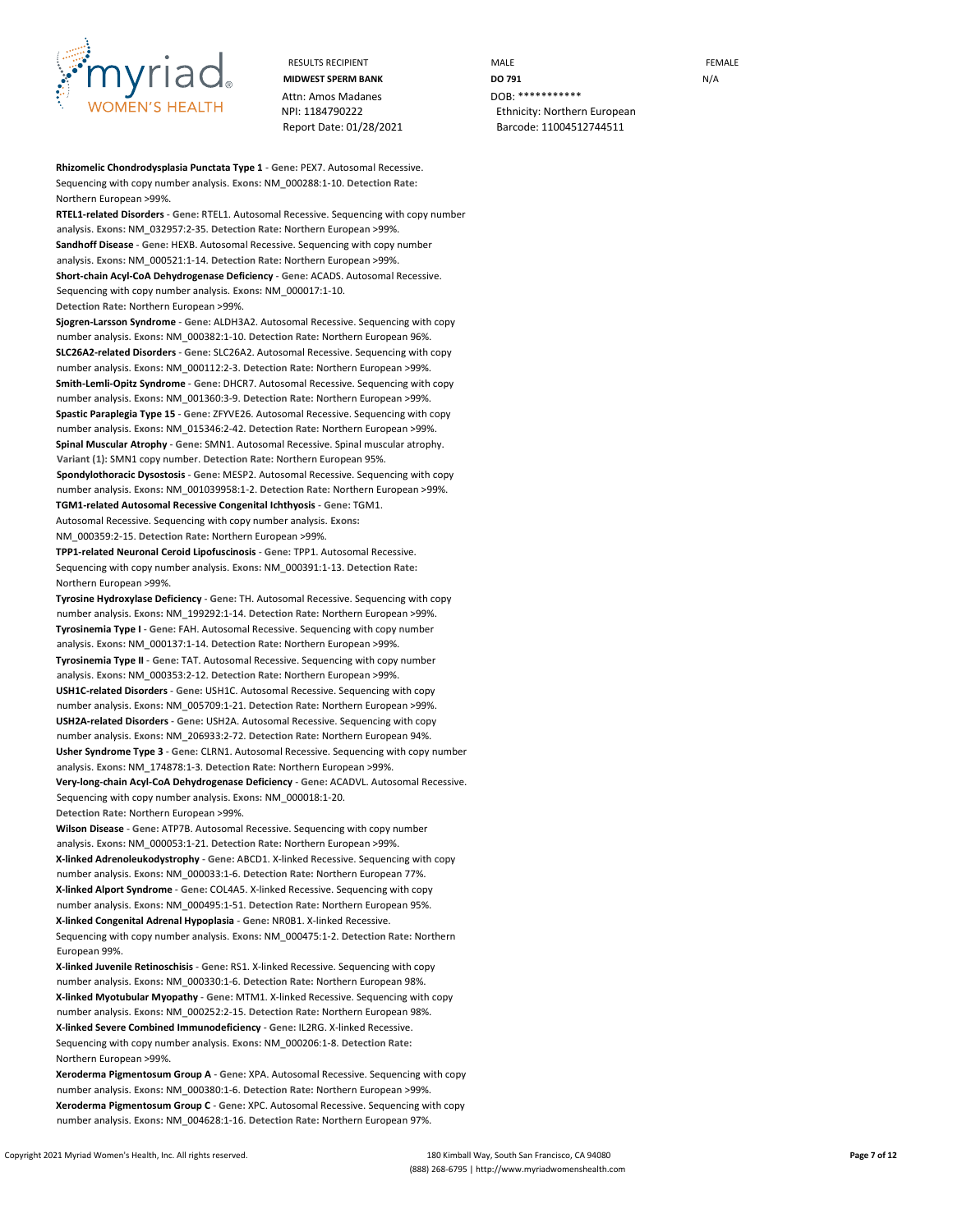

Attn: Amos Madanes **DOB: \*\*\*\*\*\*\*\*\*\*\*\*** 

RESULTS RECIPIENT **MALE MALE EXAMPLE MIDWEST SPERM BANK DO 791 DO 791 N/A** NPI: 1184790222 Ethnicity: Northern European Report Date: 01/28/2021 Barcode: 11004512744511

**Rhizomelic Chondrodysplasia Punctata Type 1** - **Gene:** PEX7. Autosomal Recessive. Sequencing with copy number analysis. **Exons:** NM\_000288:1-10. **Detection Rate:** Northern European >99%.

**RTEL1-related Disorders** - **Gene:** RTEL1. Autosomal Recessive. Sequencing with copy number analysis. **Exons:** NM\_032957:2-35. **Detection Rate:** Northern European >99%. **Sandhoff Disease** - **Gene:** HEXB. Autosomal Recessive. Sequencing with copy number analysis. **Exons:** NM\_000521:1-14. **Detection Rate:** Northern European >99%. **Short-chain Acyl-CoA Dehydrogenase Deficiency** - **Gene:** ACADS. Autosomal Recessive. Sequencing with copy number analysis. **Exons:** NM\_000017:1-10. **Detection Rate:** Northern European >99%.

**Sjogren-Larsson Syndrome** - **Gene:** ALDH3A2. Autosomal Recessive. Sequencing with copy number analysis. **Exons:** NM\_000382:1-10. **Detection Rate:** Northern European 96%. **SLC26A2-related Disorders** - **Gene:** SLC26A2. Autosomal Recessive. Sequencing with copy number analysis. **Exons:** NM\_000112:2-3. **Detection Rate:** Northern European >99%. **Smith-Lemli-Opitz Syndrome** - **Gene:** DHCR7. Autosomal Recessive. Sequencing with copy number analysis. **Exons:** NM\_001360:3-9. **Detection Rate:** Northern European >99%. **Spastic Paraplegia Type 15** - **Gene:** ZFYVE26. Autosomal Recessive. Sequencing with copy number analysis. **Exons:** NM\_015346:2-42. **Detection Rate:** Northern European >99%. **Spinal Muscular Atrophy** - **Gene:** SMN1. Autosomal Recessive. Spinal muscular atrophy. **Variant (1):** SMN1 copy number. **Detection Rate:** Northern European 95%. **Spondylothoracic Dysostosis** - **Gene:** MESP2. Autosomal Recessive. Sequencing with copy number analysis. **Exons:** NM\_001039958:1-2. **Detection Rate:** Northern European >99%. **TGM1-related Autosomal Recessive Congenital Ichthyosis** - **Gene:** TGM1. Autosomal Recessive. Sequencing with copy number analysis. **Exons:** NM\_000359:2-15. **Detection Rate:** Northern European >99%.

**TPP1-related Neuronal Ceroid Lipofuscinosis** - **Gene:** TPP1. Autosomal Recessive. Sequencing with copy number analysis. **Exons:** NM\_000391:1-13. **Detection Rate:** Northern European >99%.

**Tyrosine Hydroxylase Deficiency** - **Gene:** TH. Autosomal Recessive. Sequencing with copy number analysis. **Exons:** NM\_199292:1-14. **Detection Rate:** Northern European >99%. **Tyrosinemia Type I** - **Gene:** FAH. Autosomal Recessive. Sequencing with copy number analysis. **Exons:** NM\_000137:1-14. **Detection Rate:** Northern European >99%. **Tyrosinemia Type II** - **Gene:** TAT. Autosomal Recessive. Sequencing with copy number analysis. **Exons:** NM\_000353:2-12. **Detection Rate:** Northern European >99%. **USH1C-related Disorders** - **Gene:** USH1C. Autosomal Recessive. Sequencing with copy number analysis. **Exons:** NM\_005709:1-21. **Detection Rate:** Northern European >99%. **USH2A-related Disorders** - **Gene:** USH2A. Autosomal Recessive. Sequencing with copy number analysis. **Exons:** NM\_206933:2-72. **Detection Rate:** Northern European 94%. **Usher Syndrome Type 3** - **Gene:** CLRN1. Autosomal Recessive. Sequencing with copy number analysis. **Exons:** NM\_174878:1-3. **Detection Rate:** Northern European >99%. **Very-long-chain Acyl-CoA Dehydrogenase Deficiency** - **Gene:** ACADVL. Autosomal Recessive. Sequencing with copy number analysis. **Exons:** NM\_000018:1-20. **Detection Rate:** Northern European >99%.

**Wilson Disease** - **Gene:** ATP7B. Autosomal Recessive. Sequencing with copy number analysis. **Exons:** NM\_000053:1-21. **Detection Rate:** Northern European >99%. **X-linked Adrenoleukodystrophy** - **Gene:** ABCD1. X-linked Recessive. Sequencing with copy number analysis. **Exons:** NM\_000033:1-6. **Detection Rate:** Northern European 77%. **X-linked Alport Syndrome** - **Gene:** COL4A5. X-linked Recessive. Sequencing with copy number analysis. **Exons:** NM\_000495:1-51. **Detection Rate:** Northern European 95%. **X-linked Congenital Adrenal Hypoplasia** - **Gene:** NR0B1. X-linked Recessive. Sequencing with copy number analysis. **Exons:** NM\_000475:1-2. **Detection Rate:** Northern European 99%.

**X-linked Juvenile Retinoschisis** - **Gene:** RS1. X-linked Recessive. Sequencing with copy number analysis. **Exons:** NM\_000330:1-6. **Detection Rate:** Northern European 98%. **X-linked Myotubular Myopathy** - **Gene:** MTM1. X-linked Recessive. Sequencing with copy number analysis. **Exons:** NM\_000252:2-15. **Detection Rate:** Northern European 98%. **X-linked Severe Combined Immunodeficiency** - **Gene:** IL2RG. X-linked Recessive. Sequencing with copy number analysis. **Exons:** NM\_000206:1-8. **Detection Rate:** Northern European >99%.

**Xeroderma Pigmentosum Group A** - **Gene:** XPA. Autosomal Recessive. Sequencing with copy number analysis. **Exons:** NM\_000380:1-6. **Detection Rate:** Northern European >99%. **Xeroderma Pigmentosum Group C** - **Gene:** XPC. Autosomal Recessive. Sequencing with copy number analysis. **Exons:** NM\_004628:1-16. **Detection Rate:** Northern European 97%.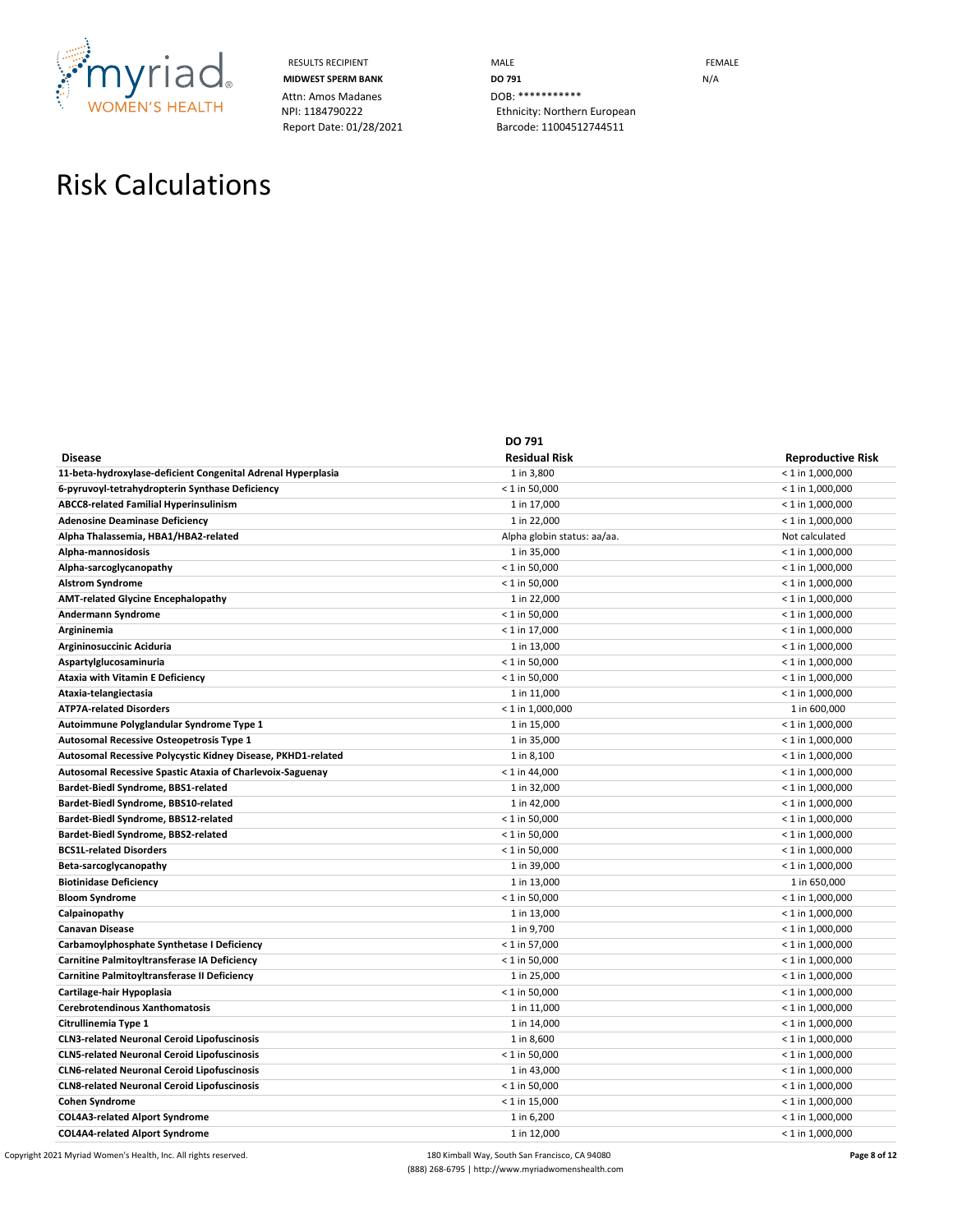

Attn: Amos Madanes<br>
NPI: 1184790222<br>
Ethnicity: Norther

RESULTS RECIPIENT **MALE MALE MIDWEST SPERM BANK DO 791 DO 791 N**/A Ethnicity: Northern European Report Date: 01/28/2021 Barcode: 11004512744511

## Risk Calculations

|                                                              | DO 791                      |                          |
|--------------------------------------------------------------|-----------------------------|--------------------------|
| <b>Disease</b>                                               | <b>Residual Risk</b>        | <b>Reproductive Risk</b> |
| 11-beta-hydroxylase-deficient Congenital Adrenal Hyperplasia | 1 in 3,800                  | $< 1$ in 1,000,000       |
| 6-pyruvoyl-tetrahydropterin Synthase Deficiency              | $< 1$ in 50,000             | $< 1$ in 1,000,000       |
| <b>ABCC8-related Familial Hyperinsulinism</b>                | 1 in 17,000                 | $< 1$ in 1,000,000       |
| <b>Adenosine Deaminase Deficiency</b>                        | 1 in 22,000                 | $< 1$ in 1,000,000       |
| Alpha Thalassemia, HBA1/HBA2-related                         | Alpha globin status: aa/aa. | Not calculated           |
| Alpha-mannosidosis                                           | 1 in 35,000                 | $< 1$ in 1,000,000       |
| Alpha-sarcoglycanopathy                                      | $< 1$ in 50,000             | $< 1$ in 1,000,000       |
| <b>Alstrom Syndrome</b>                                      | $< 1$ in 50,000             | $<$ 1 in 1,000,000       |
| <b>AMT-related Glycine Encephalopathy</b>                    | 1 in 22,000                 | $<$ 1 in 1,000,000       |
| Andermann Syndrome                                           | $< 1$ in 50,000             | $< 1$ in 1,000,000       |
| Argininemia                                                  | $< 1$ in 17,000             | $< 1$ in 1,000,000       |
| Argininosuccinic Aciduria                                    | 1 in 13,000                 | $< 1$ in 1,000,000       |
| Aspartylglucosaminuria                                       | $< 1$ in 50,000             | $< 1$ in 1,000,000       |
| <b>Ataxia with Vitamin E Deficiency</b>                      | $<$ 1 in 50,000             | $<$ 1 in 1,000,000       |
| Ataxia-telangiectasia                                        | 1 in 11,000                 | $<$ 1 in 1,000,000       |
| <b>ATP7A-related Disorders</b>                               | $<$ 1 in 1,000,000          | 1 in 600,000             |
| Autoimmune Polyglandular Syndrome Type 1                     | 1 in 15,000                 | $< 1$ in 1,000,000       |
| Autosomal Recessive Osteopetrosis Type 1                     | 1 in 35,000                 | $<$ 1 in 1,000,000       |
| Autosomal Recessive Polycystic Kidney Disease, PKHD1-related | 1 in 8,100                  | $< 1$ in 1,000,000       |
| Autosomal Recessive Spastic Ataxia of Charlevoix-Saguenay    | $< 1$ in 44,000             | $< 1$ in 1,000,000       |
| Bardet-Biedl Syndrome, BBS1-related                          | 1 in 32,000                 | $< 1$ in 1,000,000       |
| Bardet-Biedl Syndrome, BBS10-related                         | 1 in 42,000                 | $<$ 1 in 1,000,000       |
| Bardet-Biedl Syndrome, BBS12-related                         | $< 1$ in 50,000             | $<$ 1 in 1,000,000       |
| Bardet-Biedl Syndrome, BBS2-related                          | $< 1$ in 50,000             | $< 1$ in 1,000,000       |
| <b>BCS1L-related Disorders</b>                               | $< 1$ in 50,000             | $<$ 1 in 1,000,000       |
| Beta-sarcoglycanopathy                                       | 1 in 39,000                 | $< 1$ in 1,000,000       |
| <b>Biotinidase Deficiency</b>                                | 1 in 13,000                 | 1 in 650,000             |
| <b>Bloom Syndrome</b>                                        | $< 1$ in 50,000             | $< 1$ in 1,000,000       |
| Calpainopathy                                                | 1 in 13,000                 | $<$ 1 in 1,000,000       |
| Canavan Disease                                              | 1 in 9,700                  | $<$ 1 in 1,000,000       |
| Carbamoylphosphate Synthetase I Deficiency                   | $< 1$ in 57,000             | $< 1$ in 1,000,000       |
| Carnitine Palmitoyltransferase IA Deficiency                 | $<$ 1 in 50,000             | $<$ 1 in 1,000,000       |
| Carnitine Palmitoyltransferase II Deficiency                 | 1 in 25,000                 | $< 1$ in 1,000,000       |
| Cartilage-hair Hypoplasia                                    | $< 1$ in 50,000             | $< 1$ in 1,000,000       |
| Cerebrotendinous Xanthomatosis                               | 1 in 11,000                 | $< 1$ in 1,000,000       |
| Citrullinemia Type 1                                         | 1 in 14,000                 | $< 1$ in 1,000,000       |
| <b>CLN3-related Neuronal Ceroid Lipofuscinosis</b>           | 1 in 8,600                  | $<$ 1 in 1,000,000       |
| <b>CLN5-related Neuronal Ceroid Lipofuscinosis</b>           | $<$ 1 in 50,000             | $<$ 1 in 1,000,000       |
| <b>CLN6-related Neuronal Ceroid Lipofuscinosis</b>           | 1 in 43,000                 | $< 1$ in 1,000,000       |
| <b>CLN8-related Neuronal Ceroid Lipofuscinosis</b>           | $< 1$ in 50,000             | $< 1$ in 1,000,000       |
| <b>Cohen Syndrome</b>                                        | $< 1$ in 15,000             | $< 1$ in 1,000,000       |
| <b>COL4A3-related Alport Syndrome</b>                        | 1 in 6,200                  | $< 1$ in 1,000,000       |
| <b>COL4A4-related Alport Syndrome</b>                        | 1 in 12,000                 | $< 1$ in 1,000,000       |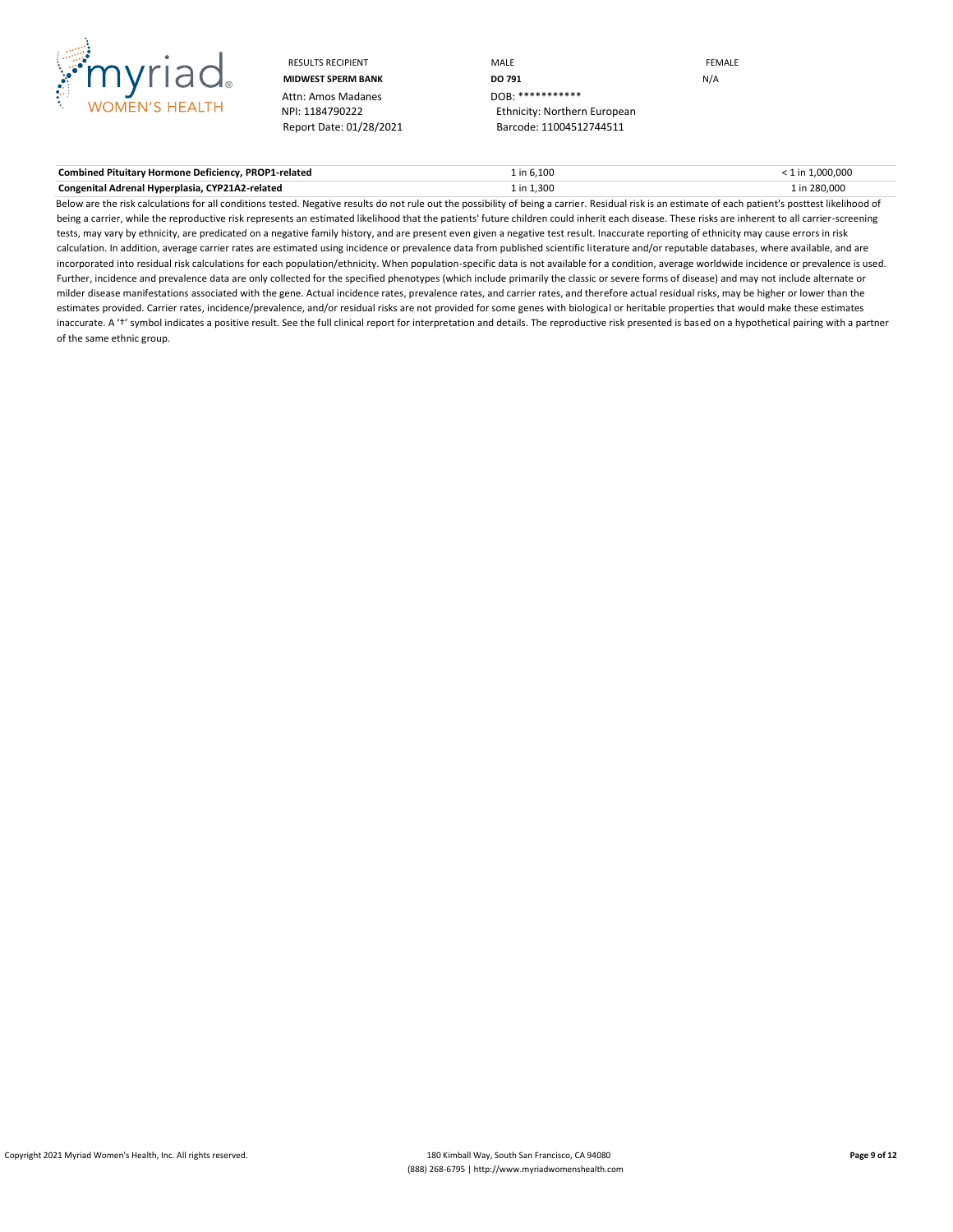

Attn: Amos Madanes<br>NPI: 1184790222

RESULTS RECIPIENT **And CONTACT CONTROLLER CONTROLLER CONTROLLER CONTROLLER CONTROLLER CONTROLLER CONTROLLER CONTROLLER MIDWEST SPERM BANK DO 791 DO 791 DO 791 DO 791 DO 791 DO 791 DO 791 DO 791 DO 8:** \*\*\*\*\*\*\*\*\*\* Ethnicity: Northern European Report Date: 01/28/2021 Barcode: 11004512744511

**Combined Pituitary Hormone Deficiency, PROP1-related** 1 1 in 6,100 1 in 6,100 1 in 6,100 combined Pituitary Hormone Deficiency, PROP1-related 1 in 1,000,000 1 in 6,100 1 in 6,100 km in 1,000,000 1 in 1,000,000 1 in 1,000, **Congenital Adrenal Hyperplasia, CYP21A2-related** 1 in 200,000 1 in 1,300 1 in 280,000 1 in 280,000 1 in 280,000

Below are the risk calculations for all conditions tested. Negative results do not rule out the possibility of being a carrier. Residual risk is an estimate of each patient's posttest likelihood of being a carrier, while the reproductive risk represents an estimated likelihood that the patients' future children could inherit each disease. These risks are inherent to all carrier-screening tests, may vary by ethnicity, are predicated on a negative family history, and are present even given a negative test result. Inaccurate reporting of ethnicity may cause errors in risk calculation. In addition, average carrier rates are estimated using incidence or prevalence data from published scientific literature and/or reputable databases, where available, and are incorporated into residual risk calculations for each population/ethnicity. When population-specific data is not available for a condition, average worldwide incidence or prevalence is used. Further, incidence and prevalence data are only collected for the specified phenotypes (which include primarily the classic or severe forms of disease) and may not include alternate or milder disease manifestations associated with the gene. Actual incidence rates, prevalence rates, and carrier rates, and therefore actual residual risks, may be higher or lower than the estimates provided. Carrier rates, incidence/prevalence, and/or residual risks are not provided for some genes with biological or heritable properties that would make these estimates inaccurate. A 't' symbol indicates a positive result. See the full clinical report for interpretation and details. The reproductive risk presented is based on a hypothetical pairing with a partner of the same ethnic group.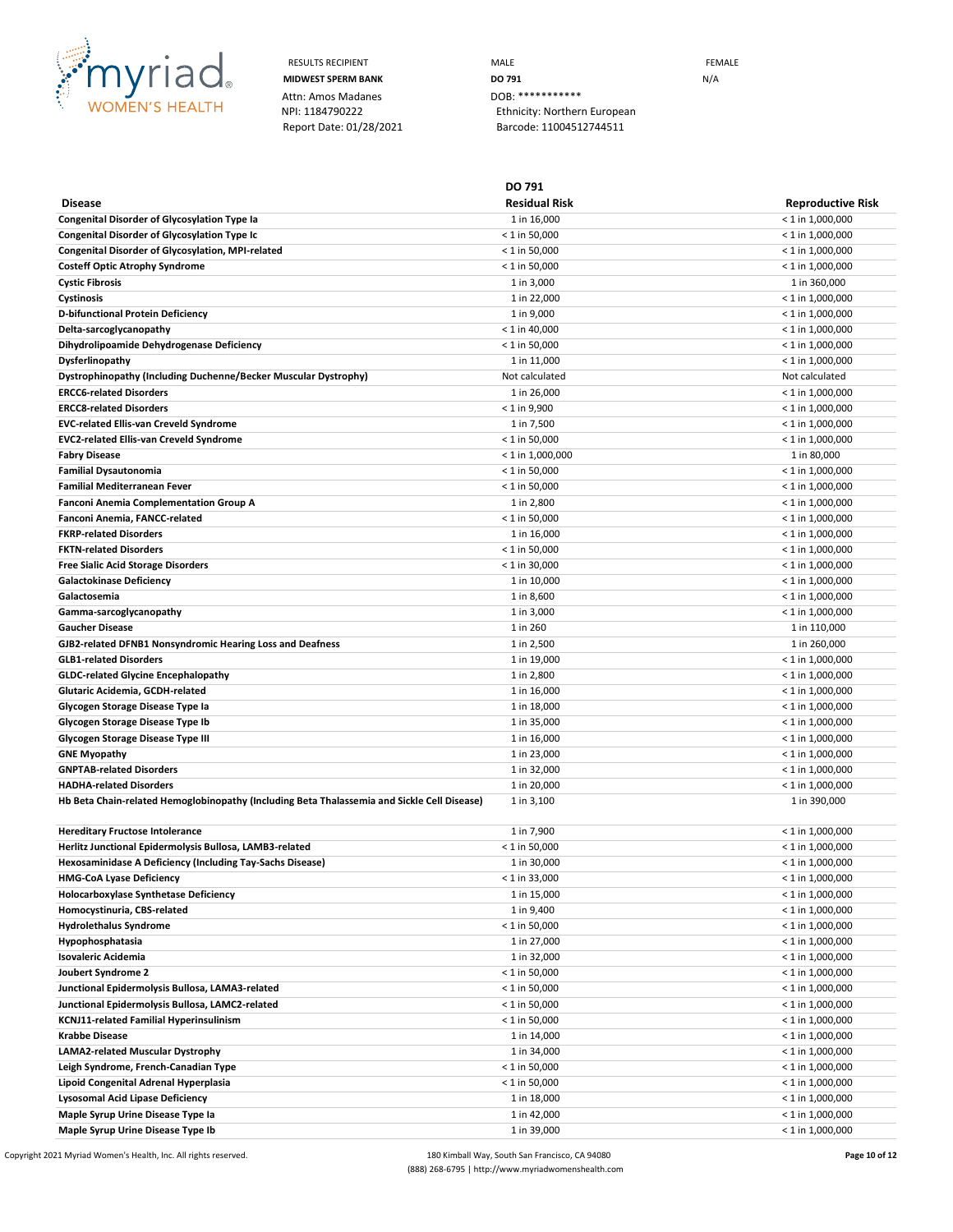

Attn: Amos Madanes **DOB: \*\*\*** 

RESULTS RECIPIENT **MALE MALE EXAMPLE MIDWEST SPERM BANK DO 791 DO 791 N/A** NPI: 1184790222 Ethnicity: Northern European Report Date: 01/28/2021 Barcode: 11004512744511

**DO 791**

**Disease Residual Risk Reproductive Risk Congenital Disorder of Glycosylation Type Ia** 1 in 16,000  $\leq 1$  in 1,000,000  $\leq 1$  in 1,000,000 **Congenital Disorder of Glycosylation Type Ic Congress 2008**  $\leq$  1 in 50,000  $\leq$  1 in 1,000,000  $\leq$  1 in 1,000,000 **Congenital Disorder of Glycosylation, MPI-related**  $\leq 1$  in 50,000  $\leq 1$  in 50,000  $\leq 1$  in 1,000,000 **Costeff Optic Atrophy Syndrome**  $\leq 1$  in 50,000  $\leq 1$  in 50,000  $\leq 1$  in 1,000,000  $\leq 1$  in 1,000,000  $\leq 1$ **Cystic Fibrosis** 1 in 360,000 1 in 360,000 1 in 360,000 1 in 360,000 1 in 360,000 1 in 360,000 1 in 360,000 1 in 360,000 1 in 360,000 1 in 360,000 1 in 360,000 1 in 360,000 1 in 360,000 1 in 360,000 1 in 360,000 1 in 360, **Cystinosis** 1 in 22,000 < 1 in 1,000,000 **D-bifunctional Protein Deficiency** 1 in 9,000 < 1 in 1,000,000 **Delta-sarcoglycanopathy**  $\leq 1$  **in 1,000,000 Dihydrolipoamide Dehydrogenase Deficiency** examples the state of the state of 1 in 50,000 and the state of 1 in 1,000,000 and the state of 1 in 1,000,000 and the state of 1 in 1,000,000 and the state of 1 in 1,000,000 and **Dysferlinopathy** 1 in 11,000 < 1 in 1,000,000 **Dystrophinopathy (Including Duchenne/Becker Muscular Dystrophy)** Not calculated Not calculated Not calculated Not calculated **ERCC6-related Disorders** 1 in 26,000 < 1 in 1,000,000 **ERCC8-related Disorders** < 1 in 9,900 < 1 in 1,000,000 **EVC-related Ellis-van Creveld Syndrome** 1 in 7,500 < 1 in 1,000,000 **EVC2-related Ellis-van Creveld Syndrome** < 1 in 50,000 < 1 in 1,000,000 **Fabry Disease** < 1 in 1,000,000 1 in 80,000 **Familial Dysautonomia** < 1 in 50,000 < 1 in 1,000,000 **Familial Mediterranean Fever** < 1 in 50,000 < 1 in 1,000,000 **Fanconi Anemia Complementation Group A** 1 in 2,800  $\leq 1$  in 2,800  $\leq 1$  in 1,000,000  $\leq 1$  in 1,000,000 **Fanconi Anemia, FANCC-related** < 1 in 50,000 < 1 in 1,000,000 **FKRP-related Disorders** 1 in 16,000 < 1 in 1,000,000 **FKTN-related Disorders** < 1 in 50,000 < 1 in 1,000,000 **Free Sialic Acid Storage Disorders** < 1 in 30,000 < 1 in 1,000,000 Galactokinase Deficiency **1in 10,000**  $\leq 1$  in 10,000  $\leq 1$  in 1,000,000 **Galactosemia**  $\leq 1$  in 1,000,000  $\leq 1$  in 1,000,000  $\leq 1$  in 1,000,000  $\leq 1$  in 1,000,000  $\leq 1$ **Gamma-sarcoglycanopathy**  $\leq 1$  in 1,000,000  $\leq 1$  in 1,000,000  $\leq 1$  in 1,000,000  $\leq 1$  in 1,000,000  $\leq 1$ **Gaucher Disease** 1 in 110,000 1 in 110,000 1 in 110,000 1 in 260 1 in 260 1 in 260 1 in 110,000 1 in 110,000 1 in 110,000 1 in 110,000 1 in 110,000 1 in 110,000 1 in 110,000 1 in 110,000 1 in 110,000 1 in 110,000 1 in 110 GJB2-related DFNB1 Nonsyndromic Hearing Loss and Deafness and The State 1 in 2,500 and The 2,500 and The 2,500 conserved and The 2,500 conserved and The 2,500 conserved and The 2,500 conserved and The 2,500 conserved and T **GLB1-related Disorders** 1 in 19,000 < 1 in 1,000,000 **GLDC-related Glycine Encephalopathy**  $\sim$  1 in 2,800  $\sim$  1 in 2,800  $\sim$  1 in 1,000,000 **Glutaric Acidemia, GCDH-related** 1 in 16,000 < 1 in 1,000,000 **Glycogen Storage Disease Type Ia** 1 and 18,000 to 1 in 18,000 to 1 in 19,000 to 1 in 19,000,000 to 1 in 1,000,000 **Glycogen Storage Disease Type Ib**  $\leq 1$  in 1,000,000  $\leq 1$  in 2,000,000  $\leq 1$  in 1,000,000  $\leq 1$  in 1,000,000  $\leq 1$ **Glycogen Storage Disease Type III** 1000,000 1 in 16,000 1 in 16,000 1 in 16,000 1 in 1000,000 1 in 1,000,000 1 in 1,000,000 1 in 1,000,000 1 in 1,000,000 1 in 1,000,000 1 in 1,000,000 1 in 1,000,000 1 in 1,000,000 1 in 1, **GNE Myopathy**  $\le$  **1 in 1,000,000**  $\le$  1 in 1,000,000 **GNPTAB-related Disorders**  $\leq 1$  in 1,000,000  $\leq 1$  in 1,000,000  $\leq 1$  in 1,000,000  $\leq 1$  in 1,000,000  $\leq 1$ **HADHA-related Disorders** 1 in 20,000 < 1 in 1,000,000 Hb Beta Chain-related Hemoglobinopathy (Including Beta Thalassemia and Sickle Cell Disease) 1 in 3,100 1 1 in 390,000 1 in 390,000 **Hereditary Fructose Intolerance**  $\sim$  1 in 7,900  $\sim$  1 in 7,900  $\sim$  1 in 1,000,000  $\sim$  1 in 1,000,000 **Herlitz Junctional Epidermolysis Bullosa, LAMB3-related** < 1 in 50,000 < 1 in 1,000,000 Hexosaminidase A Deficiency (Including Tay-Sachs Disease) **1 in 30,000** 1 in 30,000 **1000** 1 in 30,000 **1000,000 HMG-CoA Lyase Deficiency** < 1 in 33,000 < 1 in 1,000,000 **Holocarboxylase Synthetase Deficiency** 2 in 1,000,000 2 in 15,000 4 and 2 in 1,000,000 4 and 2 in 1,000,000 4 and 2 in 1,000,000 5 and 2 in 1,000,000 5 and 2 in 1,000,000 5 and 2 in 1,000,000 5 and 2 in 1,000,000 5 and 2 **Homocystinuria, CBS-related** < 1 in 1,000,000 < 1 in 1,000,000 < 1 in 1,000,000 < 1 in 1,000,000 < 1 in 1,000,000 < 1 in 1,000,000 < 1 in 1,000,000 < 1 in 1,000,000 < 1 in 1,000,000 < 1 in 1,000,000 < 1 in 1,000,000 < 1 i **Hydrolethalus Syndrome** < 1 in 50,000 < 1 in 1,000,000 **Hypophosphatasia** 1 in 27,000 < 1 in 1,000,000 **Isovaleric Acidemia** 1 in 32,000 < 1 in 1,000,000 **Joubert Syndrome 2** < 1 in 50,000 < 1 in 1,000,000 **Junctional Epidermolysis Bullosa, LAMA3-related**  $\leq 1$  in 1,000,000  $\leq 1$  in 1,000,000  $\leq 1$  in 1,000,000 **Junctional Epidermolysis Bullosa, LAMC2-related**  $\leq 1$  in 1,000,000  $\leq 1$  in 50,000  $\leq 1$  in 1,000,000  $\leq 1$ **KCNJ11-related Familial Hyperinsulinism** < 1 in 50,000 < 1 in 1,000,000 **Krabbe Disease** 1 in 14,000 < 1 in 1,000,000 **LAMA2-related Muscular Dystrophy** 1 in 34,000 < 1 in 1,000,000 Leigh Syndrome, French-Canadian Type **11 in 1,000,000**  $\leq 1$  in 50,000  $\leq 1$  in 1,000,000  $\leq 1$  in 1,000,000 **Lipoid Congenital Adrenal Hyperplasia**  $\leq 1$  in 1,000,000  $\leq 1$  in 1,000,000  $\leq 1$  in 1,000,000  $\leq 1$ **Lysosomal Acid Lipase Deficiency 1 in 1,000,000 1 in 18,000 1 in 18,000 1 in 1,000,000 1 in 1,000,000 Maple Syrup Urine Disease Type Ia** 1 1 and 1 in 42,000 1 in 42,000 1 and 1 in 1,000,000 1 and 1 in 1,000,000 1 and 1 in 1,000,000 1 and 1 in 1,000,000 1 and 1 in 1,000,000 1 and 1 in 1,000,000 1 and 1 in 1,000,000 1 and 1 **Maple Syrup Urine Disease Type Ib**  $\leq 1$  in  $1,000,000$   $\leq 1$  in  $1,000,000$ 

Copyright 2021 Myriad Women's Health, Inc. All rights reserved. 180 Kimball Way, South San Francisco, CA 94080 **Page 10 of 12** (888) 268-6795 | http://www.myriadwomenshealth.com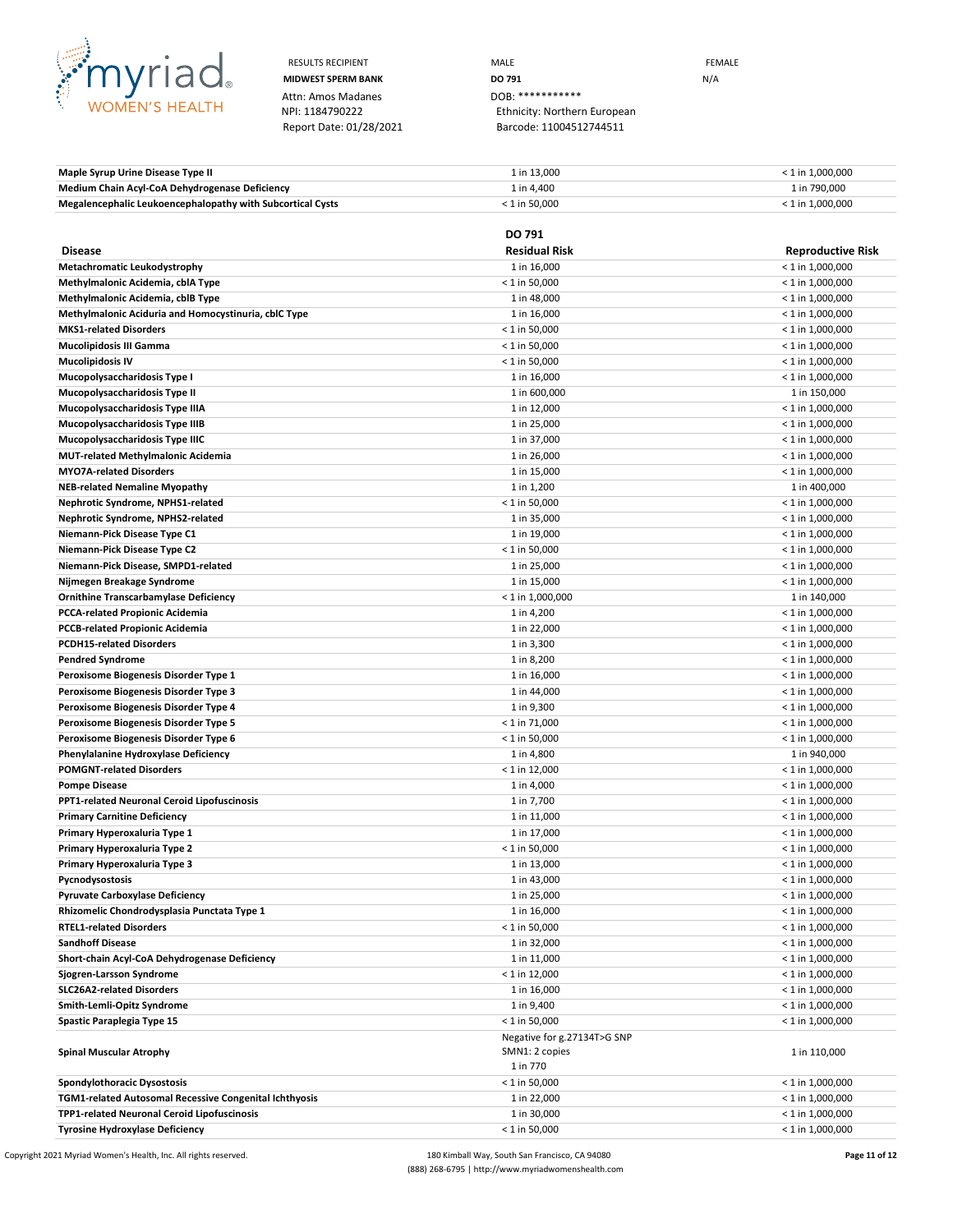

Attn: Amos Madanes<br>
NPI: 1184790222<br>
Ethnicity: Norther

RESULTS RECIPIENT **MALE MALE EXAMPLE MIDWEST SPERM BANK DO 791 DO 791 N**/A Ethnicity: Northern European Report Date: 01/28/2021 Barcode: 11004512744511

**Maple Syrup Urine Disease Type II** 1 and the Urine of the Urine of the 13,000 and the 13,000 computer of 1 in 1,000,000 computer of 1 in 1,000,000 computer of 1 in 1,000,000 computer of 1 in 1,000,000 computer of 1 in 1,0 **Medium Chain Acyl-CoA Dehydrogenase Deficiency 1in 4,400** 1 in 4,400 1 in 790,000 1 in 790,000 Megalencephalic Leukoencephalopathy with Subcortical Cysts  $\leq 1$  in 50,000  $\leq 1$  in 50,000  $\leq 1$  in 1,000,000

|                                                        | DO 791                      |                          |
|--------------------------------------------------------|-----------------------------|--------------------------|
| <b>Disease</b>                                         | <b>Residual Risk</b>        | <b>Reproductive Risk</b> |
| Metachromatic Leukodystrophy                           | 1 in 16,000                 | $< 1$ in 1,000,000       |
| Methylmalonic Acidemia, cblA Type                      | $< 1$ in 50,000             | $< 1$ in 1,000,000       |
| Methylmalonic Acidemia, cblB Type                      | 1 in 48,000                 | $<$ 1 in 1,000,000       |
| Methylmalonic Aciduria and Homocystinuria, cblC Type   | 1 in 16,000                 | $<$ 1 in 1,000,000       |
| <b>MKS1-related Disorders</b>                          | $< 1$ in 50,000             | $<$ 1 in 1,000,000       |
| <b>Mucolipidosis III Gamma</b>                         | $<$ 1 in 50,000             | $<$ 1 in 1,000,000       |
| <b>Mucolipidosis IV</b>                                | $< 1$ in 50,000             | $<$ 1 in 1,000,000       |
| Mucopolysaccharidosis Type I                           | 1 in 16,000                 | $<$ 1 in 1,000,000       |
| Mucopolysaccharidosis Type II                          | 1 in 600,000                | 1 in 150,000             |
| Mucopolysaccharidosis Type IIIA                        | 1 in 12,000                 | $<$ 1 in 1,000,000       |
| Mucopolysaccharidosis Type IIIB                        | 1 in 25,000                 | $<$ 1 in 1,000,000       |
| Mucopolysaccharidosis Type IIIC                        | 1 in 37,000                 | $<$ 1 in 1,000,000       |
| <b>MUT-related Methylmalonic Acidemia</b>              | 1 in 26,000                 | $<$ 1 in 1,000,000       |
| <b>MYO7A-related Disorders</b>                         | 1 in 15,000                 | $<$ 1 in 1,000,000       |
| <b>NEB-related Nemaline Myopathy</b>                   | 1 in 1,200                  | 1 in 400,000             |
| Nephrotic Syndrome, NPHS1-related                      | $< 1$ in 50,000             | $<$ 1 in 1,000,000       |
| Nephrotic Syndrome, NPHS2-related                      | 1 in 35,000                 | $<$ 1 in 1,000,000       |
| Niemann-Pick Disease Type C1                           | 1 in 19,000                 | $<$ 1 in 1,000,000       |
| Niemann-Pick Disease Type C2                           | $< 1$ in 50,000             | $<$ 1 in 1,000,000       |
| Niemann-Pick Disease, SMPD1-related                    | 1 in 25,000                 | $<$ 1 in 1,000,000       |
| Nijmegen Breakage Syndrome                             | 1 in 15,000                 | $<$ 1 in 1,000,000       |
| <b>Ornithine Transcarbamylase Deficiency</b>           | $< 1$ in 1,000,000          | 1 in 140,000             |
| <b>PCCA-related Propionic Acidemia</b>                 | 1 in 4,200                  | $<$ 1 in 1,000,000       |
| <b>PCCB-related Propionic Acidemia</b>                 | 1 in 22,000                 | $<$ 1 in 1,000,000       |
| <b>PCDH15-related Disorders</b>                        | 1 in 3,300                  | $<$ 1 in 1,000,000       |
| <b>Pendred Syndrome</b>                                | 1 in 8,200                  | $<$ 1 in 1,000,000       |
| Peroxisome Biogenesis Disorder Type 1                  | 1 in 16,000                 | $<$ 1 in 1,000,000       |
| Peroxisome Biogenesis Disorder Type 3                  | 1 in 44,000                 | $<$ 1 in 1,000,000       |
| Peroxisome Biogenesis Disorder Type 4                  | 1 in 9,300                  | $<$ 1 in 1,000,000       |
| Peroxisome Biogenesis Disorder Type 5                  | $< 1$ in 71,000             | $<$ 1 in 1,000,000       |
| Peroxisome Biogenesis Disorder Type 6                  | $< 1$ in 50,000             | $<$ 1 in 1,000,000       |
| Phenylalanine Hydroxylase Deficiency                   | 1 in 4,800                  | 1 in 940,000             |
| <b>POMGNT-related Disorders</b>                        | $< 1$ in 12,000             | $<$ 1 in 1,000,000       |
| <b>Pompe Disease</b>                                   | 1 in 4,000                  | $<$ 1 in 1,000,000       |
| <b>PPT1-related Neuronal Ceroid Lipofuscinosis</b>     | 1 in 7,700                  | $<$ 1 in 1,000,000       |
| <b>Primary Carnitine Deficiency</b>                    | 1 in 11,000                 | $<$ 1 in 1,000,000       |
| Primary Hyperoxaluria Type 1                           | 1 in 17,000                 | $<$ 1 in 1,000,000       |
| Primary Hyperoxaluria Type 2                           | $< 1$ in 50,000             | $<$ 1 in 1,000,000       |
| Primary Hyperoxaluria Type 3                           | 1 in 13,000                 | $< 1$ in 1,000,000       |
| Pycnodysostosis                                        | 1 in 43,000                 | $<$ 1 in 1,000,000       |
| <b>Pyruvate Carboxylase Deficiency</b>                 | 1 in 25,000                 | $<$ 1 in 1,000,000       |
| Rhizomelic Chondrodysplasia Punctata Type 1            | 1 in 16,000                 | $< 1$ in 1,000,000       |
| <b>RTEL1-related Disorders</b>                         | $< 1$ in 50,000             | $<$ 1 in 1,000,000       |
| <b>Sandhoff Disease</b>                                | 1 in 32,000                 | $<$ 1 in 1,000,000       |
| Short-chain Acyl-CoA Dehydrogenase Deficiency          | 1 in 11,000                 | $< 1$ in 1,000,000       |
| Sjogren-Larsson Syndrome                               | $< 1$ in 12,000             | $< 1$ in 1,000,000       |
| <b>SLC26A2-related Disorders</b>                       | 1 in 16,000                 | $< 1$ in 1,000,000       |
| Smith-Lemli-Opitz Syndrome                             | 1 in 9,400                  | $<$ 1 in 1,000,000       |
| Spastic Paraplegia Type 15                             | $< 1$ in 50,000             | $<$ 1 in 1,000,000       |
|                                                        | Negative for g.27134T>G SNP |                          |
| <b>Spinal Muscular Atrophy</b>                         | SMN1: 2 copies              | 1 in 110,000             |
|                                                        | 1 in 770                    |                          |
| <b>Spondylothoracic Dysostosis</b>                     | $< 1$ in 50,000             | $<$ 1 in 1,000,000       |
| TGM1-related Autosomal Recessive Congenital Ichthyosis | 1 in 22,000                 | $< 1$ in 1,000,000       |
| TPP1-related Neuronal Ceroid Lipofuscinosis            | 1 in 30,000                 | $< 1$ in 1,000,000       |
| <b>Tyrosine Hydroxylase Deficiency</b>                 | $< 1$ in 50,000             | $< 1$ in 1,000,000       |

Copyright 2021 Myriad Women's Health, Inc. All rights reserved. 180 Kimball Way, South San Francisco, CA 94080 **Page 11 of 12** (888) 268-6795 | http://www.myriadwomenshealth.com